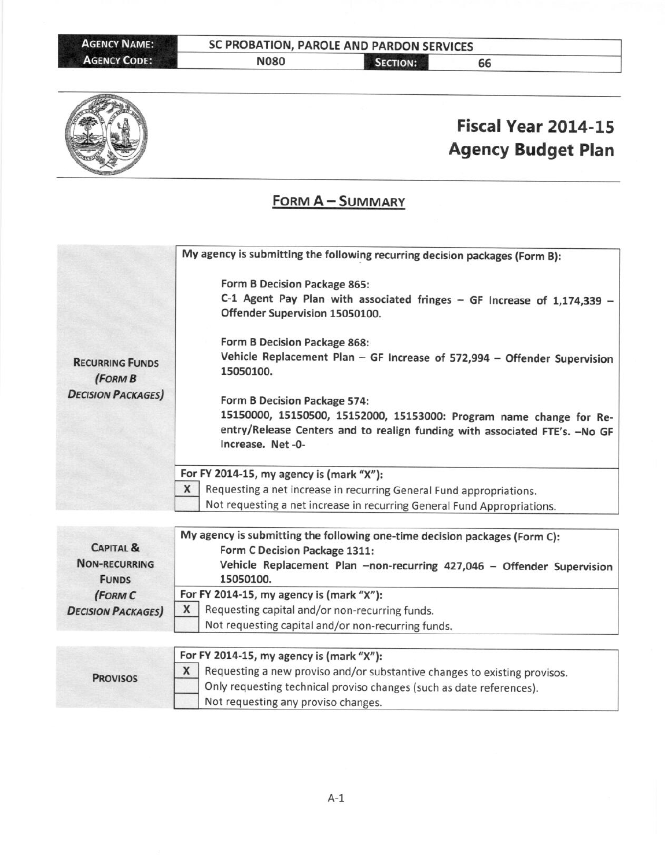

**AGENCY NAME:** 

**AGENCY CODE:** 

# Fiscal Year 2014-15 **Agency Budget Plan**

#### FORM A - SUMMARY

|                                   | My agency is submitting the following recurring decision packages (Form B):                               |  |  |
|-----------------------------------|-----------------------------------------------------------------------------------------------------------|--|--|
|                                   | Form B Decision Package 865:                                                                              |  |  |
|                                   | C-1 Agent Pay Plan with associated fringes - GF Increase of 1,174,339 -<br>Offender Supervision 15050100. |  |  |
|                                   | Form B Decision Package 868:                                                                              |  |  |
| <b>RECURRING FUNDS</b><br>(FORM B | Vehicle Replacement Plan - GF Increase of 572,994 - Offender Supervision<br>15050100.                     |  |  |
| <b>DECISION PACKAGES</b> )        | Form B Decision Package 574:                                                                              |  |  |
|                                   | 15150000, 15150500, 15152000, 15153000: Program name change for Re-                                       |  |  |
|                                   | entry/Release Centers and to realign funding with associated FTE's. - No GF                               |  |  |
|                                   | Increase. Net-0-                                                                                          |  |  |
|                                   | For FY 2014-15, my agency is (mark "X"):                                                                  |  |  |
|                                   | X<br>Requesting a net increase in recurring General Fund appropriations.                                  |  |  |
|                                   | Not requesting a net increase in recurring General Fund Appropriations.                                   |  |  |
|                                   |                                                                                                           |  |  |
| <b>CAPITAL &amp;</b>              | My agency is submitting the following one-time decision packages (Form C):                                |  |  |
| <b>NON-RECURRING</b>              | Form C Decision Package 1311:<br>Vehicle Replacement Plan -non-recurring 427,046 - Offender Supervision   |  |  |
| <b>FUNDS</b>                      | 15050100.                                                                                                 |  |  |
| (FORM C                           | For FY 2014-15, my agency is (mark "X"):                                                                  |  |  |
| <b>DECISION PACKAGES)</b>         | X<br>Requesting capital and/or non-recurring funds.                                                       |  |  |
|                                   | Not requesting capital and/or non-recurring funds.                                                        |  |  |
|                                   |                                                                                                           |  |  |
|                                   | For FY 2014-15, my agency is (mark "X"):                                                                  |  |  |
| <b>PROVISOS</b>                   | X<br>Requesting a new proviso and/or substantive changes to existing provisos.                            |  |  |
|                                   | Only requesting technical proviso changes (such as date references).                                      |  |  |
|                                   | Not requesting any proviso changes.                                                                       |  |  |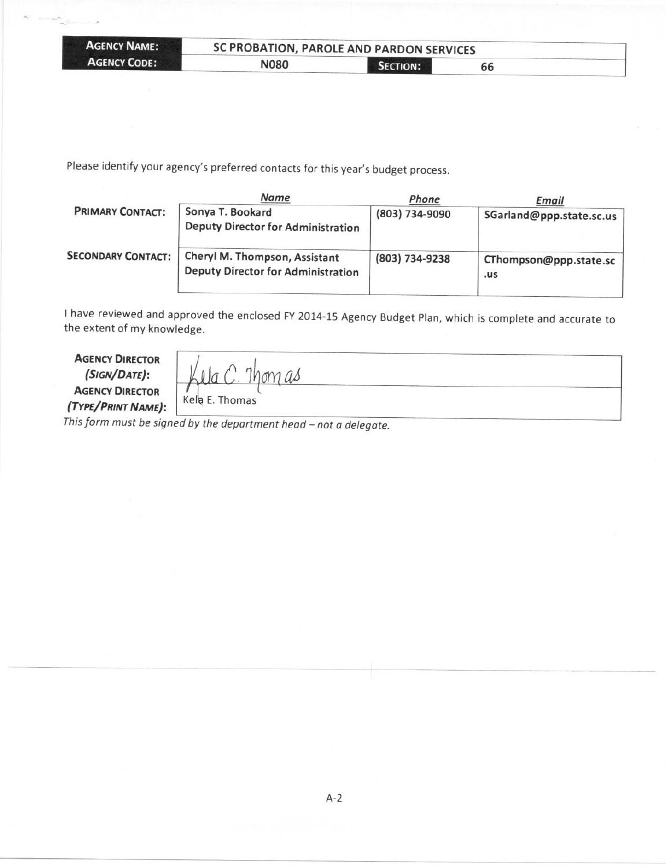| <b>AGENCY NAME:</b><br><b>AGENCY CODE:</b> | SC PROBATION, PAROLE AND PARDON SERVICES |          |    |  |
|--------------------------------------------|------------------------------------------|----------|----|--|
|                                            | N080                                     | SECTION: | 66 |  |

Please identify your agency's preferred contacts for this year's budget process.

|                           | <b>Name</b>                                                                | Phone          | Email                         |
|---------------------------|----------------------------------------------------------------------------|----------------|-------------------------------|
| <b>PRIMARY CONTACT:</b>   | Sonya T. Bookard<br><b>Deputy Director for Administration</b>              | (803) 734-9090 | SGarland@ppp.state.sc.us      |
| <b>SECONDARY CONTACT:</b> | Cheryl M. Thompson, Assistant<br><b>Deputy Director for Administration</b> | (803) 734-9238 | CThompson@ppp.state.sc<br>.us |
|                           |                                                                            |                |                               |

I have reviewed and approved the enclosed FY 2014-15 Agency Budget Plan, which is complete and accurate to the extent of my knowledge.

**AGENCY DIRECTOR** (SIGN/DATE): **AGENCY DIRECTOR** (TYPE/PRINT NAME):

om as Kela E. Thomas

This form must be signed by the department head - not a delegate.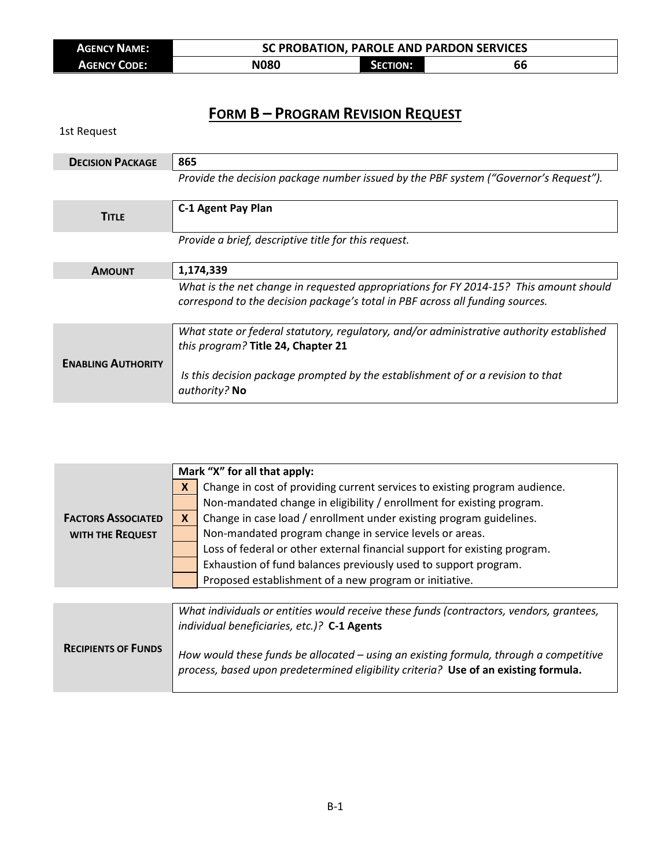| <b>AGENCY NAME:</b> |      |          | SC PROBATION, PAROLE AND PARDON SERVICES |  |
|---------------------|------|----------|------------------------------------------|--|
| <b>AGENCY CODE:</b> | N080 | SECTION: | 66                                       |  |

# **FORM B – PROGRAM REVISION REQUEST**

1st Request

| <b>DECISION PACKAGE</b>   | 865                                                                                                                                                                    |
|---------------------------|------------------------------------------------------------------------------------------------------------------------------------------------------------------------|
|                           | Provide the decision package number issued by the PBF system ("Governor's Request").                                                                                   |
| <b>TITLE</b>              | <b>C-1 Agent Pay Plan</b>                                                                                                                                              |
|                           | Provide a brief, descriptive title for this request.                                                                                                                   |
| <b>AMOUNT</b>             | 1,174,339                                                                                                                                                              |
|                           | What is the net change in requested appropriations for FY 2014-15? This amount should<br>correspond to the decision package's total in PBF across all funding sources. |
|                           | What state or federal statutory, regulatory, and/or administrative authority established<br>this program? Title 24, Chapter 21                                         |
| <b>ENABLING AUTHORITY</b> | Is this decision package prompted by the establishment of or a revision to that<br>authority? No                                                                       |

|                            |     | Mark "X" for all that apply:                                                            |
|----------------------------|-----|-----------------------------------------------------------------------------------------|
|                            | X   | Change in cost of providing current services to existing program audience.              |
|                            |     | Non-mandated change in eligibility / enrollment for existing program.                   |
| <b>FACTORS ASSOCIATED</b>  | X   | Change in case load / enrollment under existing program guidelines.                     |
| <b>WITH THE REQUEST</b>    |     | Non-mandated program change in service levels or areas.                                 |
|                            |     | Loss of federal or other external financial support for existing program.               |
|                            |     | Exhaustion of fund balances previously used to support program.                         |
|                            |     | Proposed establishment of a new program or initiative.                                  |
|                            |     |                                                                                         |
|                            |     | What individuals or entities would receive these funds (contractors, vendors, grantees, |
|                            |     | individual beneficiaries, etc.)? C-1 Agents                                             |
| <b>RECIPIENTS OF FUNDS</b> | . . |                                                                                         |

| <b>CIPIENTS OF FUNDS</b> | How would these funds be allocated – using an existing formula, through a competitive |
|--------------------------|---------------------------------------------------------------------------------------|
|                          | process, based upon predetermined eligibility criteria? Use of an existing formula.   |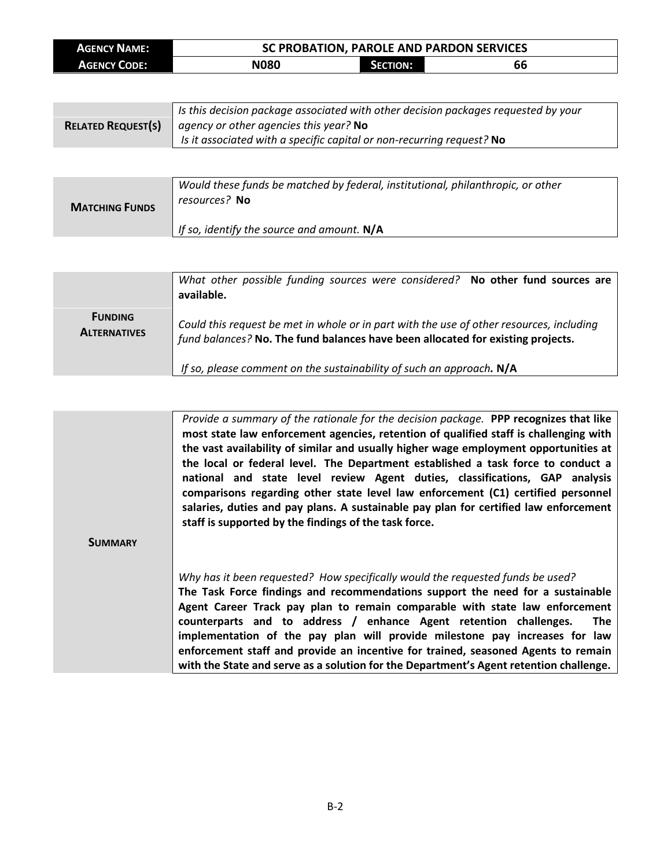| <b>AGENCY NAME:</b> |             |          | SC PROBATION, PAROLE AND PARDON SERVICES |  |
|---------------------|-------------|----------|------------------------------------------|--|
| <b>AGENCY CODE:</b> | <b>N080</b> | SECTION: | 66                                       |  |

| Is this decision package associated with other decision packages requested by your |
|------------------------------------------------------------------------------------|
| <b>RELATED REQUEST(S)</b> $\vert$ agency or other agencies this year? No           |
| Is it associated with a specific capital or non-recurring request? No              |

| <b>MATCHING FUNDS</b> | Would these funds be matched by federal, institutional, philanthropic, or other<br>resources? No |
|-----------------------|--------------------------------------------------------------------------------------------------|
|                       | If so, identify the source and amount. $N/A$                                                     |

|                                       | What other possible funding sources were considered? No other fund sources are<br>available.                                                                                |
|---------------------------------------|-----------------------------------------------------------------------------------------------------------------------------------------------------------------------------|
| <b>FUNDING</b><br><b>ALTERNATIVES</b> | Could this request be met in whole or in part with the use of other resources, including<br>fund balances? No. The fund balances have been allocated for existing projects. |
|                                       | If so, please comment on the sustainability of such an approach. $N/A$                                                                                                      |

|                | Provide a summary of the rationale for the decision package. PPP recognizes that like  |
|----------------|----------------------------------------------------------------------------------------|
|                | most state law enforcement agencies, retention of qualified staff is challenging with  |
|                | the vast availability of similar and usually higher wage employment opportunities at   |
|                | the local or federal level. The Department established a task force to conduct a       |
|                | national and state level review Agent duties, classifications, GAP analysis            |
|                | comparisons regarding other state level law enforcement (C1) certified personnel       |
|                | salaries, duties and pay plans. A sustainable pay plan for certified law enforcement   |
|                | staff is supported by the findings of the task force.                                  |
|                |                                                                                        |
| <b>SUMMARY</b> |                                                                                        |
|                |                                                                                        |
|                | Why has it been requested? How specifically would the requested funds be used?         |
|                | The Task Force findings and recommendations support the need for a sustainable         |
|                |                                                                                        |
|                | Agent Career Track pay plan to remain comparable with state law enforcement            |
|                | counterparts and to address / enhance Agent retention challenges.<br><b>The</b>        |
|                | implementation of the pay plan will provide milestone pay increases for law            |
|                | enforcement staff and provide an incentive for trained, seasoned Agents to remain      |
|                | with the State and serve as a solution for the Department's Agent retention challenge. |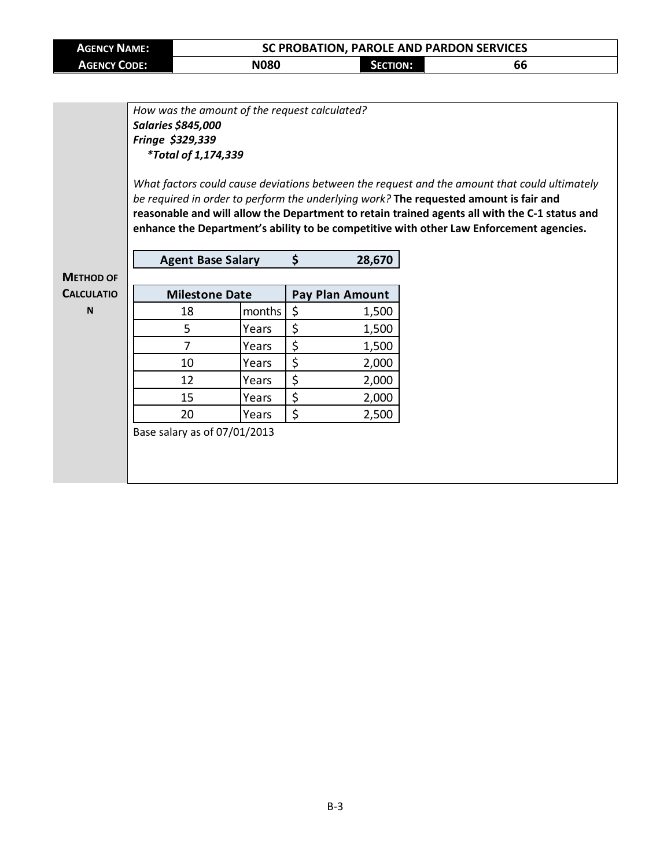| <b>AGENCY NAME:</b>                        |                                                                                                                                                                                                                                                                                           |                                   |                            |                                                                      | SC PROBATION, PAROLE AND PARDON SERVICES |                                                                                                                                                                                                                                                                                          |
|--------------------------------------------|-------------------------------------------------------------------------------------------------------------------------------------------------------------------------------------------------------------------------------------------------------------------------------------------|-----------------------------------|----------------------------|----------------------------------------------------------------------|------------------------------------------|------------------------------------------------------------------------------------------------------------------------------------------------------------------------------------------------------------------------------------------------------------------------------------------|
| <b>AGENCY CODE:</b>                        |                                                                                                                                                                                                                                                                                           | <b>N080</b><br><b>SECTION:</b>    |                            |                                                                      | 66                                       |                                                                                                                                                                                                                                                                                          |
| <b>METHOD OF</b><br><b>CALCULATIO</b><br>N | How was the amount of the request calculated?<br><b>Salaries \$845,000</b><br>Fringe \$329,339<br>*Total of 1,174,339<br>be required in order to perform the underlying work? The requested amount is fair and<br><b>Agent Base Salary</b><br><b>Milestone Date</b><br>18<br>5<br>7<br>10 | months<br>Years<br>Years<br>Years | \$<br>\$<br>\$<br>\$<br>\$ | 28,670<br><b>Pay Plan Amount</b><br>1,500<br>1,500<br>1,500<br>2,000 |                                          | What factors could cause deviations between the request and the amount that could ultimately<br>reasonable and will allow the Department to retain trained agents all with the C-1 status and<br>enhance the Department's ability to be competitive with other Law Enforcement agencies. |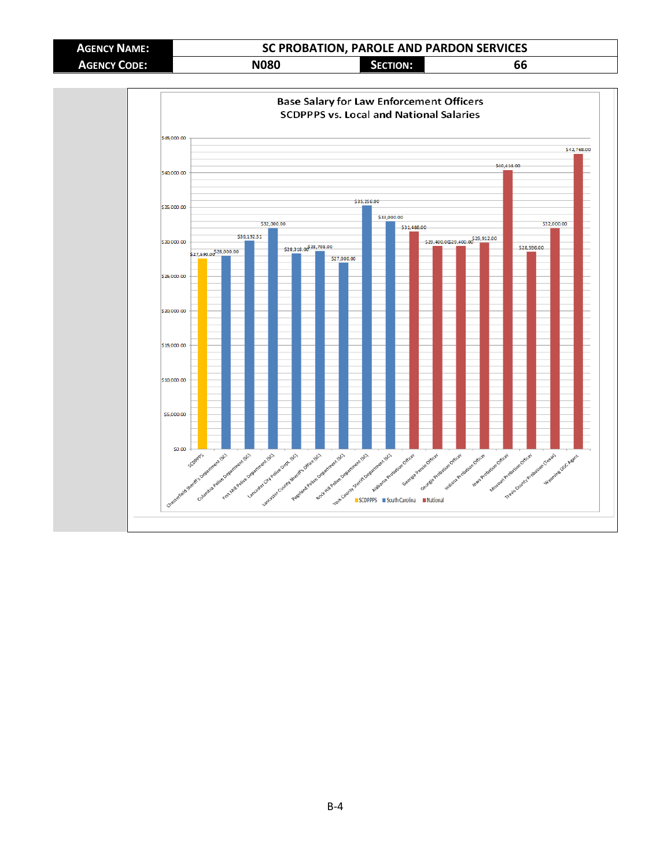| <b>AGENCY NAME:</b> | SC PROBATION, PAROLE AND PARDON SERVICES |                 |    |  |
|---------------------|------------------------------------------|-----------------|----|--|
| <b>AGENCY CODE:</b> | <b>N080</b>                              | <b>SECTION:</b> | 66 |  |

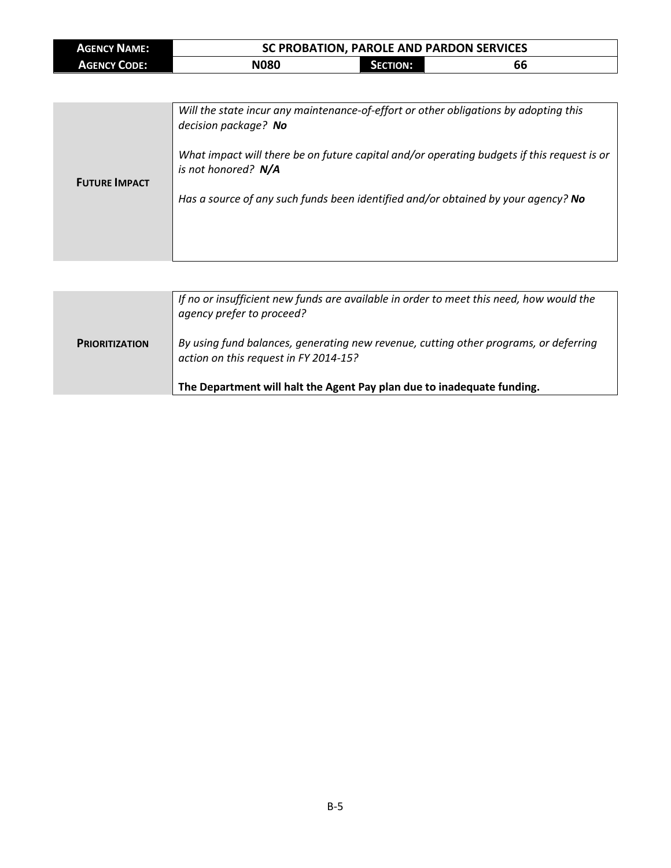| <b>AGENCY NAME:</b> | SC PROBATION, PAROLE AND PARDON SERVICES |                 |    |
|---------------------|------------------------------------------|-----------------|----|
| <b>AGENCY CODE:</b> | <b>N080</b>                              | <b>SECTION:</b> | 66 |

|                      | Will the state incur any maintenance-of-effort or other obligations by adopting this<br>decision package? No                                                                                             |
|----------------------|----------------------------------------------------------------------------------------------------------------------------------------------------------------------------------------------------------|
| <b>FUTURE IMPACT</b> | What impact will there be on future capital and/or operating budgets if this request is or<br>is not honored? $N/A$<br>Has a source of any such funds been identified and/or obtained by your agency? No |
|                      |                                                                                                                                                                                                          |

|                       | If no or insufficient new funds are available in order to meet this need, how would the<br>agency prefer to proceed?          |
|-----------------------|-------------------------------------------------------------------------------------------------------------------------------|
| <b>PRIORITIZATION</b> | By using fund balances, generating new revenue, cutting other programs, or deferring<br>action on this request in FY 2014-15? |
|                       | The Department will halt the Agent Pay plan due to inadequate funding.                                                        |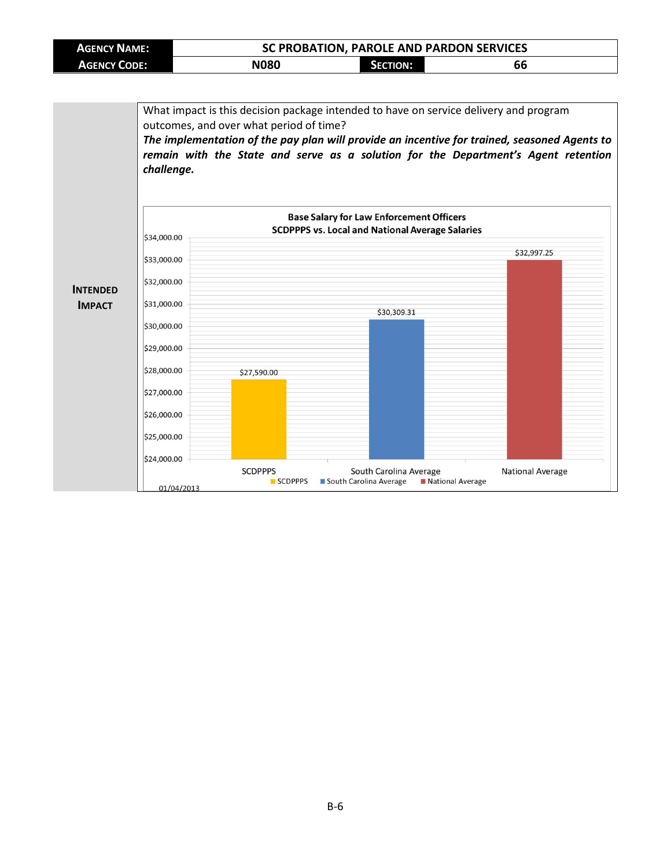| <b>AGENCY NAME:</b> | SC PROBATION, PAROLE AND PARDON SERVICES |                 |    |  |
|---------------------|------------------------------------------|-----------------|----|--|
| <b>AGENCY CODE:</b> | N080                                     | <b>SECTION:</b> | 66 |  |

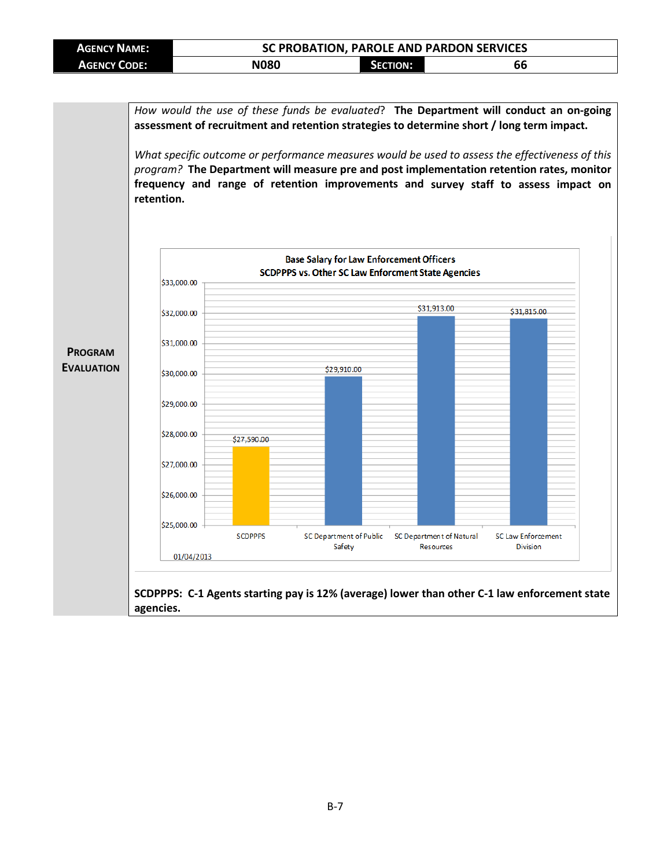| <b>AGENCY NAME:</b> | SC PROBATION, PAROLE AND PARDON SERVICES |          |    |  |
|---------------------|------------------------------------------|----------|----|--|
| <b>AGENCY CODE:</b> | N080                                     | Section: | 66 |  |

*How would the use of these funds be evaluated*? **The Department will conduct an on-going assessment of recruitment and retention strategies to determine short / long term impact.**

*What specific outcome or performance measures would be used to assess the effectiveness of this program?* **The Department will measure pre and post implementation retention rates, monitor frequency and range of retention improvements and survey staff to assess impact on retention.**

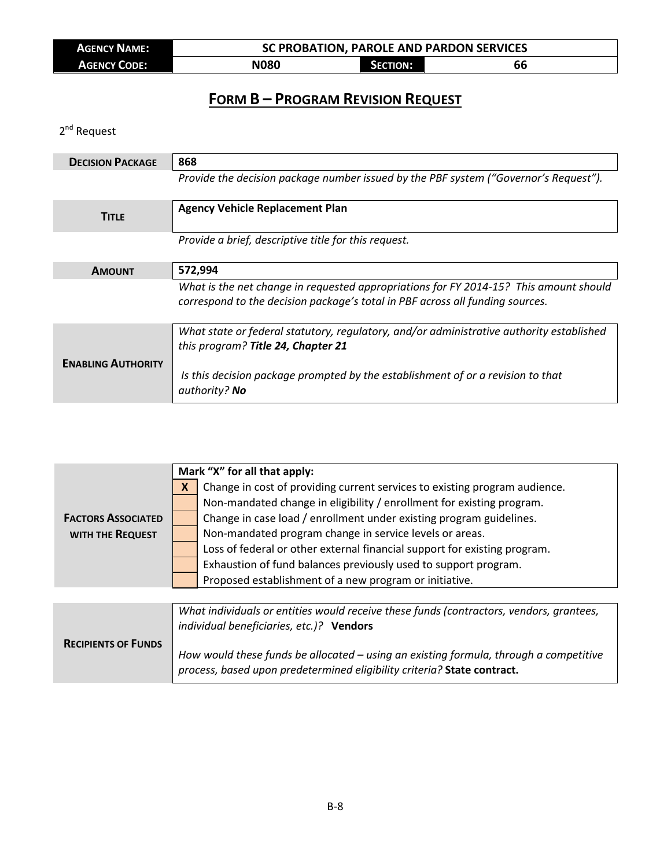| <b>AGENCY NAME:</b> | SC PROBATION, PAROLE AND PARDON SERVICES |                 |    |  |
|---------------------|------------------------------------------|-----------------|----|--|
| <b>AGENCY CODE:</b> | N080                                     | <b>SECTION:</b> | 66 |  |

# **FORM B – PROGRAM REVISION REQUEST**

# 2<sup>nd</sup> Request

| <b>DECISION PACKAGE</b>   | 868                                                                                                                                                                    |
|---------------------------|------------------------------------------------------------------------------------------------------------------------------------------------------------------------|
|                           | Provide the decision package number issued by the PBF system ("Governor's Request").                                                                                   |
| <b>TITLE</b>              | <b>Agency Vehicle Replacement Plan</b>                                                                                                                                 |
|                           | Provide a brief, descriptive title for this request.                                                                                                                   |
| <b>AMOUNT</b>             | 572,994                                                                                                                                                                |
|                           | What is the net change in requested appropriations for FY 2014-15? This amount should<br>correspond to the decision package's total in PBF across all funding sources. |
|                           | What state or federal statutory, regulatory, and/or administrative authority established<br>this program? Title 24, Chapter 21                                         |
| <b>ENABLING AUTHORITY</b> | Is this decision package prompted by the establishment of or a revision to that<br>authority? No                                                                       |

|                           |   | Mark "X" for all that apply:                                                          |
|---------------------------|---|---------------------------------------------------------------------------------------|
|                           | X | Change in cost of providing current services to existing program audience.            |
|                           |   | Non-mandated change in eligibility / enrollment for existing program.                 |
| <b>FACTORS ASSOCIATED</b> |   | Change in case load / enrollment under existing program guidelines.                   |
| WITH THE REQUEST          |   | Non-mandated program change in service levels or areas.                               |
|                           |   | Loss of federal or other external financial support for existing program.             |
|                           |   | Exhaustion of fund balances previously used to support program.                       |
|                           |   | Proposed establishment of a new program or initiative.                                |
|                           |   |                                                                                       |
|                           |   | What individuals ar optities would resoive these funds (contractors, vendors, grappes |

|                            | What individuals or entities would receive these funds (contractors, vendors, grantees,<br>individual beneficiaries, etc.)? Vendors                              |
|----------------------------|------------------------------------------------------------------------------------------------------------------------------------------------------------------|
| <b>RECIPIENTS OF FUNDS</b> |                                                                                                                                                                  |
|                            | How would these funds be allocated – using an existing formula, through a competitive<br>process, based upon predetermined eligibility criteria? State contract. |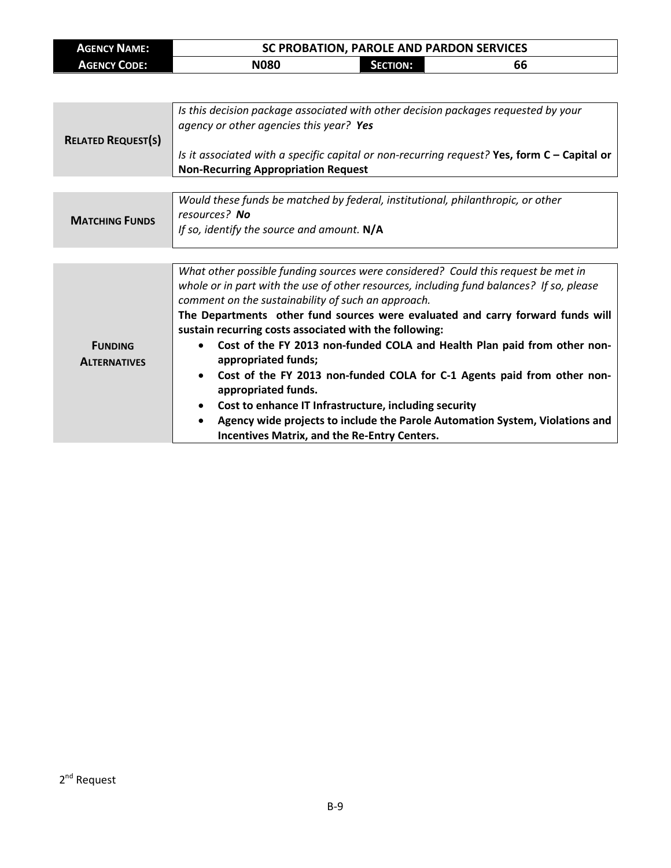| <b>AGENCY NAME:</b>       | SC PROBATION, PAROLE AND PARDON SERVICES                                           |                 |    |  |  |
|---------------------------|------------------------------------------------------------------------------------|-----------------|----|--|--|
| <b>AGENCY CODE:</b>       | <b>N080</b>                                                                        | <b>SECTION:</b> | 66 |  |  |
|                           |                                                                                    |                 |    |  |  |
|                           |                                                                                    |                 |    |  |  |
|                           | Is this decision package associated with other decision packages requested by your |                 |    |  |  |
|                           | agency or other agencies this year? Yes                                            |                 |    |  |  |
| <b>RELATED REQUEST(S)</b> |                                                                                    |                 |    |  |  |

|                                                  | <b>Non-Recurring Appropriation Request</b>                                                         |
|--------------------------------------------------|----------------------------------------------------------------------------------------------------|
| $\sim$ $\sim$ $\sim$ $\sim$ $\sim$ $\sim$ $\sim$ | Is it associated with a specific capital or non-recurring request? <b>Yes, form C</b> – Capital or |

| <b>MATCHING FUNDS</b> | Would these funds be matched by federal, institutional, philanthropic, or other<br>resources? <b>No</b> |
|-----------------------|---------------------------------------------------------------------------------------------------------|
|                       | If so, identify the source and amount. $N/A$                                                            |

|                     | What other possible funding sources were considered? Could this request be met in<br>whole or in part with the use of other resources, including fund balances? If so, please<br>comment on the sustainability of such an approach.<br>The Departments other fund sources were evaluated and carry forward funds will |
|---------------------|-----------------------------------------------------------------------------------------------------------------------------------------------------------------------------------------------------------------------------------------------------------------------------------------------------------------------|
|                     | sustain recurring costs associated with the following:                                                                                                                                                                                                                                                                |
| <b>FUNDING</b>      | • Cost of the FY 2013 non-funded COLA and Health Plan paid from other non-                                                                                                                                                                                                                                            |
| <b>ALTERNATIVES</b> | appropriated funds;                                                                                                                                                                                                                                                                                                   |
|                     | • Cost of the FY 2013 non-funded COLA for C-1 Agents paid from other non-<br>appropriated funds.                                                                                                                                                                                                                      |
|                     | Cost to enhance IT Infrastructure, including security<br>$\bullet$                                                                                                                                                                                                                                                    |
|                     | Agency wide projects to include the Parole Automation System, Violations and<br>$\bullet$<br>Incentives Matrix, and the Re-Entry Centers.                                                                                                                                                                             |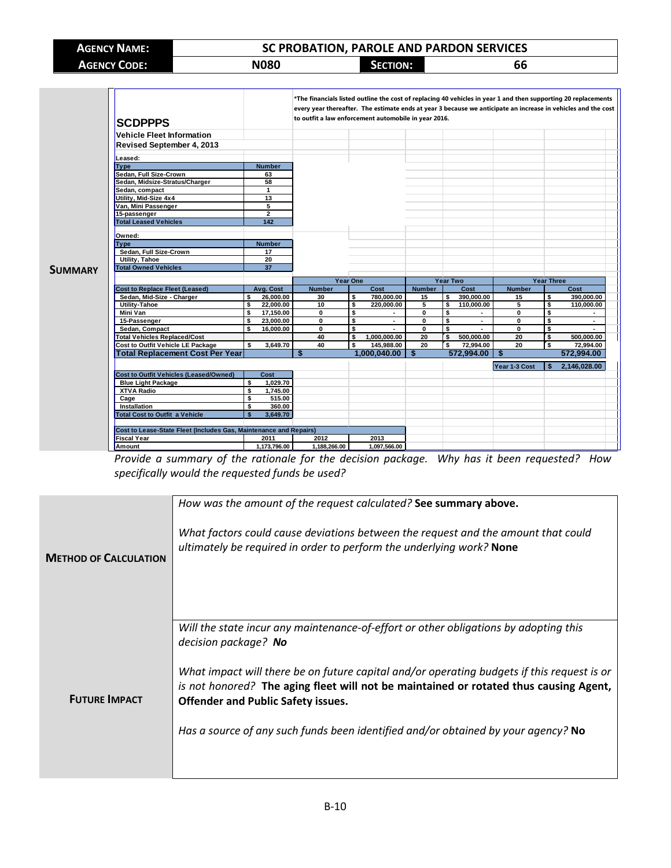|                | <b>AGENCY NAME:</b>                                                                     |                |                    | SC PROBATION, PAROLE AND PARDON SERVICES                                                                                                                                                                                                                                                |                      |               |                 |                |               |                         |                |
|----------------|-----------------------------------------------------------------------------------------|----------------|--------------------|-----------------------------------------------------------------------------------------------------------------------------------------------------------------------------------------------------------------------------------------------------------------------------------------|----------------------|---------------|-----------------|----------------|---------------|-------------------------|----------------|
|                | <b>AGENCY CODE:</b>                                                                     | <b>N080</b>    |                    |                                                                                                                                                                                                                                                                                         | <b>SECTION:</b>      |               |                 |                | 66            |                         |                |
|                |                                                                                         |                |                    |                                                                                                                                                                                                                                                                                         |                      |               |                 |                |               |                         |                |
|                | <b>SCDPPPS</b>                                                                          |                |                    | *The financials listed outline the cost of replacing 40 vehicles in year 1 and then supporting 20 replacements<br>every year thereafter. The estimate ends at year 3 because we anticipate an increase in vehicles and the cost<br>to outfit a law enforcement automobile in year 2016. |                      |               |                 |                |               |                         |                |
|                | <b>Vehicle Fleet Information</b>                                                        |                |                    |                                                                                                                                                                                                                                                                                         |                      |               |                 |                |               |                         |                |
|                | <b>Revised September 4, 2013</b>                                                        |                |                    |                                                                                                                                                                                                                                                                                         |                      |               |                 |                |               |                         |                |
|                |                                                                                         |                |                    |                                                                                                                                                                                                                                                                                         |                      |               |                 |                |               |                         |                |
|                | Leased:                                                                                 |                |                    |                                                                                                                                                                                                                                                                                         |                      |               |                 |                |               |                         |                |
|                | <b>Type</b>                                                                             | <b>Number</b>  |                    |                                                                                                                                                                                                                                                                                         |                      |               |                 |                |               |                         |                |
|                | Sedan, Full Size-Crown                                                                  | 63             |                    |                                                                                                                                                                                                                                                                                         |                      |               |                 |                |               |                         |                |
|                | Sedan, Midsize-Stratus/Charger                                                          | 58             |                    |                                                                                                                                                                                                                                                                                         |                      |               |                 |                |               |                         |                |
|                | Sedan, compact                                                                          | $\mathbf{1}$   |                    |                                                                                                                                                                                                                                                                                         |                      |               |                 |                |               |                         |                |
|                | Utility, Mid-Size 4x4                                                                   | 13             |                    |                                                                                                                                                                                                                                                                                         |                      |               |                 |                |               |                         |                |
|                | Van, Mini Passenger                                                                     | 5              |                    |                                                                                                                                                                                                                                                                                         |                      |               |                 |                |               |                         |                |
|                | 15-passenger                                                                            | $\overline{a}$ |                    |                                                                                                                                                                                                                                                                                         |                      |               |                 |                |               |                         |                |
|                | <b>Total Leased Vehicles</b>                                                            | 142            |                    |                                                                                                                                                                                                                                                                                         |                      |               |                 |                |               |                         |                |
|                | Owned:                                                                                  |                |                    |                                                                                                                                                                                                                                                                                         |                      |               |                 |                |               |                         |                |
|                | <b>Type</b>                                                                             | <b>Number</b>  |                    |                                                                                                                                                                                                                                                                                         |                      |               |                 |                |               |                         |                |
|                | Sedan, Full Size-Crown                                                                  | 17             |                    |                                                                                                                                                                                                                                                                                         |                      |               |                 |                |               |                         |                |
|                | Utility, Tahoe                                                                          | 20             |                    |                                                                                                                                                                                                                                                                                         |                      |               |                 |                |               |                         |                |
| <b>SUMMARY</b> | <b>Total Owned Vehicles</b>                                                             | 37             |                    |                                                                                                                                                                                                                                                                                         |                      |               |                 |                |               |                         |                |
|                |                                                                                         |                |                    | Year One                                                                                                                                                                                                                                                                                |                      |               | <b>Year Two</b> |                |               | <b>Year Three</b>       |                |
|                | <b>Cost to Replace Fleet (Leased)</b>                                                   | Avg. Cost      |                    | <b>Number</b>                                                                                                                                                                                                                                                                           | Cost                 | <b>Number</b> |                 | Cost           | <b>Number</b> |                         | Cost           |
|                | Sedan, Mid-Size - Charger                                                               | \$             | 26,000.00          | 30                                                                                                                                                                                                                                                                                      | \$<br>780,000.00     | 15            | \$              | 390,000.00     | 15            | \$                      | 390,000.00     |
|                | <b>Utility-Tahoe</b>                                                                    | \$             | 22,000.00          | 10                                                                                                                                                                                                                                                                                      | \$<br>220.000.00     | 5             | \$              | 110.000.00     | 5             | \$                      | 110.000.00     |
|                | Mini Van                                                                                | \$             | 17,150.00          | 0                                                                                                                                                                                                                                                                                       | \$                   | 0             | \$              |                | 0             | \$                      |                |
|                | 15-Passenger                                                                            | \$             | 23,000.00          | 0                                                                                                                                                                                                                                                                                       | \$<br>$\blacksquare$ | 0             | \$              | $\blacksquare$ | 0             | \$                      | $\blacksquare$ |
|                | Sedan, Compact                                                                          | \$             | 16,000.00          | 0                                                                                                                                                                                                                                                                                       | \$                   | 0             | \$              |                | $\mathbf 0$   | \$                      |                |
|                | <b>Total Vehicles Replaced/Cost</b>                                                     |                |                    | 40                                                                                                                                                                                                                                                                                      | \$<br>1,000,000.00   | 20            | $\mathbf{s}$    | 500,000.00     | 20            | $\overline{\mathbf{s}}$ | 500,000.00     |
|                | Cost to Outfit Vehicle LE Package                                                       | \$             | 3,649.70           | 40                                                                                                                                                                                                                                                                                      | \$<br>145,988.00     | 20            | \$              | 72,994.00      | 20            | \$                      | 72,994.00      |
|                | <b>Total Replacement Cost Per Year</b>                                                  |                |                    | S                                                                                                                                                                                                                                                                                       | 1,000,040.00         |               |                 | 572,994.00     | -S            |                         | 572,994.00     |
|                |                                                                                         |                |                    |                                                                                                                                                                                                                                                                                         |                      |               |                 |                | Year 1-3 Cost | S.                      | 2,146,028.00   |
|                | Cost to Outfit Vehicles (Leased/Owned)                                                  | Cost           |                    |                                                                                                                                                                                                                                                                                         |                      |               |                 |                |               |                         |                |
|                |                                                                                         |                | 1,029.70           |                                                                                                                                                                                                                                                                                         |                      |               |                 |                |               |                         |                |
|                |                                                                                         |                |                    |                                                                                                                                                                                                                                                                                         |                      |               |                 |                |               |                         |                |
|                | <b>Blue Light Package</b><br><b>XTVA Radio</b>                                          | \$<br>\$       |                    |                                                                                                                                                                                                                                                                                         |                      |               |                 |                |               |                         |                |
|                |                                                                                         | \$             | 1,745.00<br>515.00 |                                                                                                                                                                                                                                                                                         |                      |               |                 |                |               |                         |                |
|                | Cage<br>Installation                                                                    | \$             | 360.00             |                                                                                                                                                                                                                                                                                         |                      |               |                 |                |               |                         |                |
|                | <b>Total Cost to Outfit a Vehicle</b>                                                   | Ś.             | 3,649.70           |                                                                                                                                                                                                                                                                                         |                      |               |                 |                |               |                         |                |
|                |                                                                                         |                |                    |                                                                                                                                                                                                                                                                                         |                      |               |                 |                |               |                         |                |
|                | Cost to Lease-State Fleet (Includes Gas, Maintenance and Repairs)<br><b>Fiscal Year</b> | 2011           |                    | 2012                                                                                                                                                                                                                                                                                    | 2013                 |               |                 |                |               |                         |                |

*Provide a summary of the rationale for the decision package. Why has it been requested? How specifically would the requested funds be used?*

| <b>METHOD OF CALCULATION</b> | How was the amount of the request calculated? See summary above.<br>What factors could cause deviations between the request and the amount that could<br>ultimately be required in order to perform the underlying work? None                            |
|------------------------------|----------------------------------------------------------------------------------------------------------------------------------------------------------------------------------------------------------------------------------------------------------|
|                              | Will the state incur any maintenance-of-effort or other obligations by adopting this                                                                                                                                                                     |
| <b>FUTURE IMPACT</b>         | decision package? No<br>What impact will there be on future capital and/or operating budgets if this request is or<br>is not honored? The aging fleet will not be maintained or rotated thus causing Agent,<br><b>Offender and Public Safety issues.</b> |
|                              | Has a source of any such funds been identified and/or obtained by your agency? No                                                                                                                                                                        |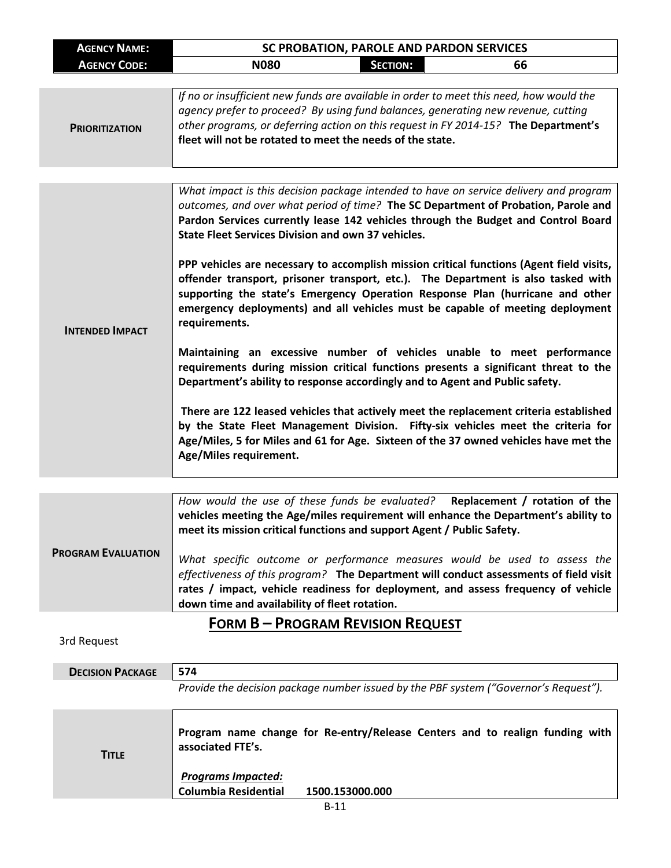| <b>AGENCY NAME:</b>    | SC PROBATION, PAROLE AND PARDON SERVICES                                                                                                                                                                                                                                                                                         |                 |                                                                                                                                                                                                                                                                                                                                                 |  |  |  |
|------------------------|----------------------------------------------------------------------------------------------------------------------------------------------------------------------------------------------------------------------------------------------------------------------------------------------------------------------------------|-----------------|-------------------------------------------------------------------------------------------------------------------------------------------------------------------------------------------------------------------------------------------------------------------------------------------------------------------------------------------------|--|--|--|
| <b>AGENCY CODE:</b>    | <b>N080</b>                                                                                                                                                                                                                                                                                                                      | <b>SECTION:</b> | 66                                                                                                                                                                                                                                                                                                                                              |  |  |  |
|                        |                                                                                                                                                                                                                                                                                                                                  |                 |                                                                                                                                                                                                                                                                                                                                                 |  |  |  |
| <b>PRIORITIZATION</b>  | If no or insufficient new funds are available in order to meet this need, how would the<br>agency prefer to proceed? By using fund balances, generating new revenue, cutting<br>other programs, or deferring action on this request in FY 2014-15? The Department's<br>fleet will not be rotated to meet the needs of the state. |                 |                                                                                                                                                                                                                                                                                                                                                 |  |  |  |
|                        | <b>State Fleet Services Division and own 37 vehicles.</b>                                                                                                                                                                                                                                                                        |                 | What impact is this decision package intended to have on service delivery and program<br>outcomes, and over what period of time? The SC Department of Probation, Parole and<br>Pardon Services currently lease 142 vehicles through the Budget and Control Board                                                                                |  |  |  |
| <b>INTENDED IMPACT</b> | requirements.                                                                                                                                                                                                                                                                                                                    |                 | PPP vehicles are necessary to accomplish mission critical functions (Agent field visits,<br>offender transport, prisoner transport, etc.). The Department is also tasked with<br>supporting the state's Emergency Operation Response Plan (hurricane and other<br>emergency deployments) and all vehicles must be capable of meeting deployment |  |  |  |
|                        | Department's ability to response accordingly and to Agent and Public safety.                                                                                                                                                                                                                                                     |                 | Maintaining an excessive number of vehicles unable to meet performance<br>requirements during mission critical functions presents a significant threat to the                                                                                                                                                                                   |  |  |  |
|                        | Age/Miles requirement.                                                                                                                                                                                                                                                                                                           |                 | There are 122 leased vehicles that actively meet the replacement criteria established<br>by the State Fleet Management Division. Fifty-six vehicles meet the criteria for<br>Age/Miles, 5 for Miles and 61 for Age. Sixteen of the 37 owned vehicles have met the                                                                               |  |  |  |
|                        |                                                                                                                                                                                                                                                                                                                                  |                 |                                                                                                                                                                                                                                                                                                                                                 |  |  |  |
|                        | How would the use of these funds be evaluated?                                                                                                                                                                                                                                                                                   |                 | Replacement / rotation of the                                                                                                                                                                                                                                                                                                                   |  |  |  |

|                           | vehicles meeting the Age/miles requirement will enhance the Department's ability to<br>meet its mission critical functions and support Agent / Public Safety.                                                                                           |
|---------------------------|---------------------------------------------------------------------------------------------------------------------------------------------------------------------------------------------------------------------------------------------------------|
| <b>PROGRAM EVALUATION</b> | What specific outcome or performance measures would be used to assess the<br>effectiveness of this program? The Department will conduct assessments of field visit<br>rates / impact, vehicle readiness for deployment, and assess frequency of vehicle |
|                           | down time and availability of fleet rotation.                                                                                                                                                                                                           |

### **FORM B – PROGRAM REVISION REQUEST**

3rd Request

| <b>DECISION PACKAGE</b> | 574                                                                                               |
|-------------------------|---------------------------------------------------------------------------------------------------|
|                         | Provide the decision package number issued by the PBF system ("Governor's Request").              |
|                         |                                                                                                   |
| <b>TITLE</b>            | Program name change for Re-entry/Release Centers and to realign funding with<br>associated FTE's. |
|                         | <b>Programs Impacted:</b>                                                                         |
|                         | <b>Columbia Residential</b><br>1500.153000.000                                                    |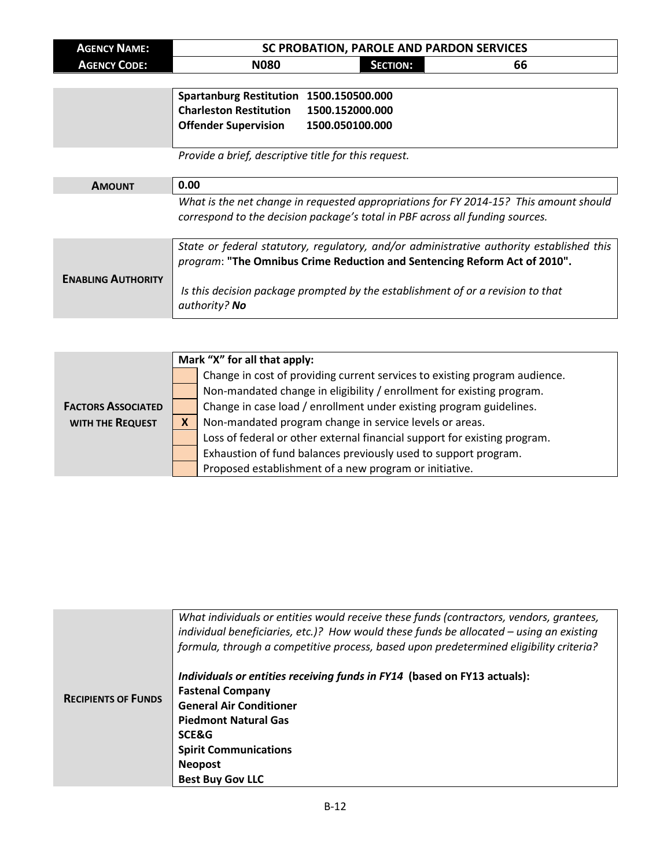| <b>AGENCY NAME:</b> | SC PROBATION, PAROLE AND PARDON SERVICES |                 |    |  |
|---------------------|------------------------------------------|-----------------|----|--|
| <b>AGENCY CODE:</b> | <b>N080</b>                              | <b>SECTION:</b> | 66 |  |

| Spartanburg Restitution 1500.150500.000 |                 |  |
|-----------------------------------------|-----------------|--|
| Charleston Restitution 1500.152000.000  |                 |  |
| <b>Offender Supervision</b>             | 1500.050100.000 |  |
|                                         |                 |  |

*Provide a brief, descriptive title for this request.*

| <b>AMOUNT</b> | 0.00                                                                                                                                                                   |
|---------------|------------------------------------------------------------------------------------------------------------------------------------------------------------------------|
|               | What is the net change in requested appropriations for FY 2014-15? This amount should<br>correspond to the decision package's total in PBF across all funding sources. |
|               | State or federal statutory, regulatory, and/or administrative authority established this                                                                               |

|                           | <i>program</i> : "The Omnibus Crime Reduction and Sentencing Reform Act of 2010".                       |
|---------------------------|---------------------------------------------------------------------------------------------------------|
| <b>ENABLING AUTHORITY</b> | Is this decision package prompted by the establishment of or a revision to that<br>authoritv? <b>No</b> |

|                           |  | Mark "X" for all that apply:                                                                                                                        |  |  |  |  |  |  |  |
|---------------------------|--|-----------------------------------------------------------------------------------------------------------------------------------------------------|--|--|--|--|--|--|--|
|                           |  | Change in cost of providing current services to existing program audience.<br>Non-mandated change in eligibility / enrollment for existing program. |  |  |  |  |  |  |  |
|                           |  |                                                                                                                                                     |  |  |  |  |  |  |  |
| <b>FACTORS ASSOCIATED</b> |  | Change in case load / enrollment under existing program guidelines.                                                                                 |  |  |  |  |  |  |  |
| WITH THE REQUEST          |  | Non-mandated program change in service levels or areas.                                                                                             |  |  |  |  |  |  |  |
|                           |  | Loss of federal or other external financial support for existing program.                                                                           |  |  |  |  |  |  |  |
|                           |  | Exhaustion of fund balances previously used to support program.                                                                                     |  |  |  |  |  |  |  |
|                           |  | Proposed establishment of a new program or initiative.                                                                                              |  |  |  |  |  |  |  |

| <b>RECIPIENTS OF FUNDS</b> | What individuals or entities would receive these funds (contractors, vendors, grantees,<br>individual beneficiaries, etc.)? How would these funds be allocated $-$ using an existing<br>formula, through a competitive process, based upon predetermined eligibility criteria? |
|----------------------------|--------------------------------------------------------------------------------------------------------------------------------------------------------------------------------------------------------------------------------------------------------------------------------|
|                            | Individuals or entities receiving funds in FY14 (based on FY13 actuals):<br><b>Fastenal Company</b><br><b>General Air Conditioner</b>                                                                                                                                          |
|                            | <b>Piedmont Natural Gas</b>                                                                                                                                                                                                                                                    |
|                            | <b>SCE&amp;G</b>                                                                                                                                                                                                                                                               |
|                            | <b>Spirit Communications</b>                                                                                                                                                                                                                                                   |
|                            | <b>Neopost</b>                                                                                                                                                                                                                                                                 |
|                            | <b>Best Buy Gov LLC</b>                                                                                                                                                                                                                                                        |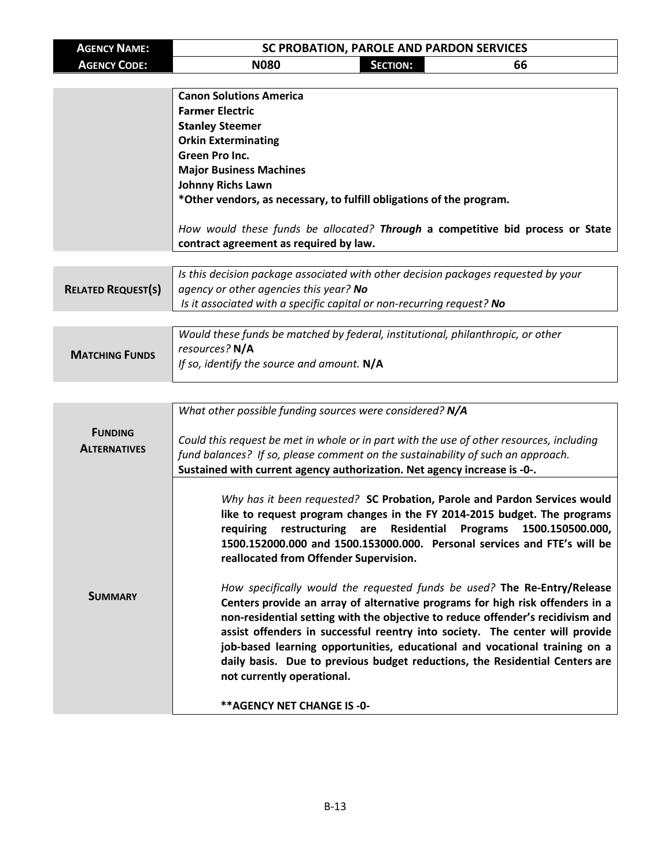| <b>AGENCY NAME:</b>                   | SC PROBATION, PAROLE AND PARDON SERVICES                                                                                                                                                                                                                                                                                                                                                                    |                           |                                                                                                                                                                                                                                                                                                                                                                                                                                                                                                                                                                                                                                                                                                                                                                      |  |  |  |  |
|---------------------------------------|-------------------------------------------------------------------------------------------------------------------------------------------------------------------------------------------------------------------------------------------------------------------------------------------------------------------------------------------------------------------------------------------------------------|---------------------------|----------------------------------------------------------------------------------------------------------------------------------------------------------------------------------------------------------------------------------------------------------------------------------------------------------------------------------------------------------------------------------------------------------------------------------------------------------------------------------------------------------------------------------------------------------------------------------------------------------------------------------------------------------------------------------------------------------------------------------------------------------------------|--|--|--|--|
| <b>AGENCY CODE:</b>                   | <b>N080</b>                                                                                                                                                                                                                                                                                                                                                                                                 | <b>SECTION:</b>           | 66                                                                                                                                                                                                                                                                                                                                                                                                                                                                                                                                                                                                                                                                                                                                                                   |  |  |  |  |
|                                       | <b>Canon Solutions America</b><br><b>Farmer Electric</b><br><b>Stanley Steemer</b><br><b>Orkin Exterminating</b><br><b>Green Pro Inc.</b><br><b>Major Business Machines</b><br><b>Johnny Richs Lawn</b><br>*Other vendors, as necessary, to fulfill obligations of the program.<br>How would these funds be allocated? Through a competitive bid process or State<br>contract agreement as required by law. |                           |                                                                                                                                                                                                                                                                                                                                                                                                                                                                                                                                                                                                                                                                                                                                                                      |  |  |  |  |
| <b>RELATED REQUEST(S)</b>             | Is this decision package associated with other decision packages requested by your<br>agency or other agencies this year? No<br>Is it associated with a specific capital or non-recurring request? No                                                                                                                                                                                                       |                           |                                                                                                                                                                                                                                                                                                                                                                                                                                                                                                                                                                                                                                                                                                                                                                      |  |  |  |  |
| <b>MATCHING FUNDS</b>                 | Would these funds be matched by federal, institutional, philanthropic, or other<br>resources? N/A<br>If so, identify the source and amount. N/A                                                                                                                                                                                                                                                             |                           |                                                                                                                                                                                                                                                                                                                                                                                                                                                                                                                                                                                                                                                                                                                                                                      |  |  |  |  |
|                                       |                                                                                                                                                                                                                                                                                                                                                                                                             |                           |                                                                                                                                                                                                                                                                                                                                                                                                                                                                                                                                                                                                                                                                                                                                                                      |  |  |  |  |
| <b>FUNDING</b><br><b>ALTERNATIVES</b> | What other possible funding sources were considered? N/A<br>Could this request be met in whole or in part with the use of other resources, including<br>fund balances? If so, please comment on the sustainability of such an approach.<br>Sustained with current agency authorization. Net agency increase is -0-.                                                                                         |                           |                                                                                                                                                                                                                                                                                                                                                                                                                                                                                                                                                                                                                                                                                                                                                                      |  |  |  |  |
| <b>SUMMARY</b>                        | requiring<br>restructuring<br>reallocated from Offender Supervision.<br>not currently operational.                                                                                                                                                                                                                                                                                                          | <b>Residential</b><br>are | Why has it been requested? SC Probation, Parole and Pardon Services would<br>like to request program changes in the FY 2014-2015 budget. The programs<br><b>Programs</b><br>1500.150500.000,<br>1500.152000.000 and 1500.153000.000. Personal services and FTE's will be<br>How specifically would the requested funds be used? The Re-Entry/Release<br>Centers provide an array of alternative programs for high risk offenders in a<br>non-residential setting with the objective to reduce offender's recidivism and<br>assist offenders in successful reentry into society. The center will provide<br>job-based learning opportunities, educational and vocational training on a<br>daily basis. Due to previous budget reductions, the Residential Centers are |  |  |  |  |

**\*\*AGENCY NET CHANGE IS -0-**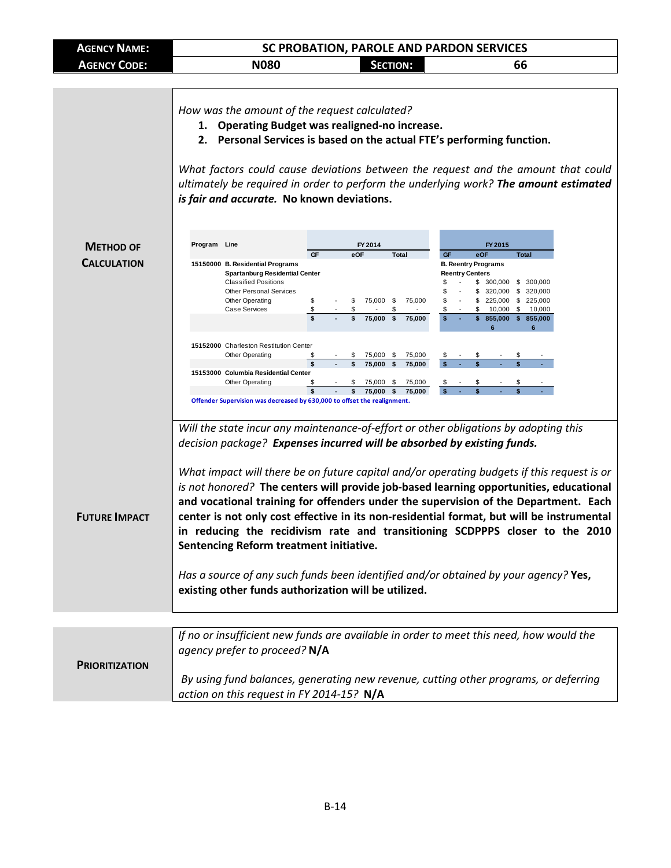| <b>AGENCY NAME:</b>   | SC PROBATION, PAROLE AND PARDON SERVICES                                                                                                                                                                                                                                                                                                                                                                                                                                                                                                                                                                                                                                                                                                                                                                              |                             |                                                                                                                           |                                                                                                        |                                                                                                          |  |  |
|-----------------------|-----------------------------------------------------------------------------------------------------------------------------------------------------------------------------------------------------------------------------------------------------------------------------------------------------------------------------------------------------------------------------------------------------------------------------------------------------------------------------------------------------------------------------------------------------------------------------------------------------------------------------------------------------------------------------------------------------------------------------------------------------------------------------------------------------------------------|-----------------------------|---------------------------------------------------------------------------------------------------------------------------|--------------------------------------------------------------------------------------------------------|----------------------------------------------------------------------------------------------------------|--|--|
| <b>AGENCY CODE:</b>   | <b>N080</b>                                                                                                                                                                                                                                                                                                                                                                                                                                                                                                                                                                                                                                                                                                                                                                                                           |                             | <b>SECTION:</b>                                                                                                           |                                                                                                        | 66                                                                                                       |  |  |
|                       |                                                                                                                                                                                                                                                                                                                                                                                                                                                                                                                                                                                                                                                                                                                                                                                                                       |                             |                                                                                                                           |                                                                                                        |                                                                                                          |  |  |
|                       | How was the amount of the request calculated?<br>1. Operating Budget was realigned-no increase.<br>2. Personal Services is based on the actual FTE's performing function.<br>What factors could cause deviations between the request and the amount that could<br>ultimately be required in order to perform the underlying work? The amount estimated<br>is fair and accurate. No known deviations.                                                                                                                                                                                                                                                                                                                                                                                                                  |                             |                                                                                                                           |                                                                                                        |                                                                                                          |  |  |
|                       | Program Line                                                                                                                                                                                                                                                                                                                                                                                                                                                                                                                                                                                                                                                                                                                                                                                                          | FY 2014                     |                                                                                                                           | FY 2015                                                                                                |                                                                                                          |  |  |
| <b>METHOD OF</b>      |                                                                                                                                                                                                                                                                                                                                                                                                                                                                                                                                                                                                                                                                                                                                                                                                                       | GF<br>eOF                   | <b>Total</b>                                                                                                              | eOF<br>GF                                                                                              | <b>Total</b>                                                                                             |  |  |
| <b>CALCULATION</b>    | 15150000 B. Residential Programs<br><b>Spartanburg Residential Center</b><br><b>Classified Positions</b><br><b>Other Personal Services</b><br>Other Operating<br>Case Services<br>15152000 Charleston Restitution Center<br>Other Operating<br>15153000 Columbia Residential Center<br><b>Other Operating</b><br>Offender Supervision was decreased by 630,000 to offset the realignment.                                                                                                                                                                                                                                                                                                                                                                                                                             | \$<br>S<br>\$<br>\$75,000\$ | 75,000<br>75,000 \$<br>75,000 \$<br>75,000<br>75,000 \$<br>75,000<br>75,000 \$<br>75,000<br>75,000<br>75,000 \$<br>75,000 | <b>B. Reentry Programs</b><br><b>Reentry Centers</b><br>\$<br>225,000<br>S<br>\$<br>\$<br>10,000<br>\$ | \$ 300,000 \$ 300,000<br>320,000 \$ 320,000<br>\$225,000<br>- \$<br>10,000<br>\$ 855,000 \$ 855,000<br>6 |  |  |
| <b>FUTURE IMPACT</b>  | Will the state incur any maintenance-of-effort or other obligations by adopting this<br>decision package? Expenses incurred will be absorbed by existing funds.<br>What impact will there be on future capital and/or operating budgets if this request is or<br>is not honored? The centers will provide job-based learning opportunities, educational<br>and vocational training for offenders under the supervision of the Department. Each<br>center is not only cost effective in its non-residential format, but will be instrumental<br>in reducing the recidivism rate and transitioning SCDPPPS closer to the 2010<br>Sentencing Reform treatment initiative.<br>Has a source of any such funds been identified and/or obtained by your agency? Yes,<br>existing other funds authorization will be utilized. |                             |                                                                                                                           |                                                                                                        |                                                                                                          |  |  |
|                       |                                                                                                                                                                                                                                                                                                                                                                                                                                                                                                                                                                                                                                                                                                                                                                                                                       |                             |                                                                                                                           |                                                                                                        |                                                                                                          |  |  |
| <b>PRIORITIZATION</b> | If no or insufficient new funds are available in order to meet this need, how would the<br>agency prefer to proceed? N/A                                                                                                                                                                                                                                                                                                                                                                                                                                                                                                                                                                                                                                                                                              |                             |                                                                                                                           |                                                                                                        |                                                                                                          |  |  |

|                       | If no or insufficient new funds are available in order to meet this need, how would the<br>agency prefer to proceed? N/A |
|-----------------------|--------------------------------------------------------------------------------------------------------------------------|
| <b>PRIORITIZATION</b> |                                                                                                                          |
|                       | By using fund balances, generating new revenue, cutting other programs, or deferring                                     |
|                       | action on this request in FY 2014-15? N/A                                                                                |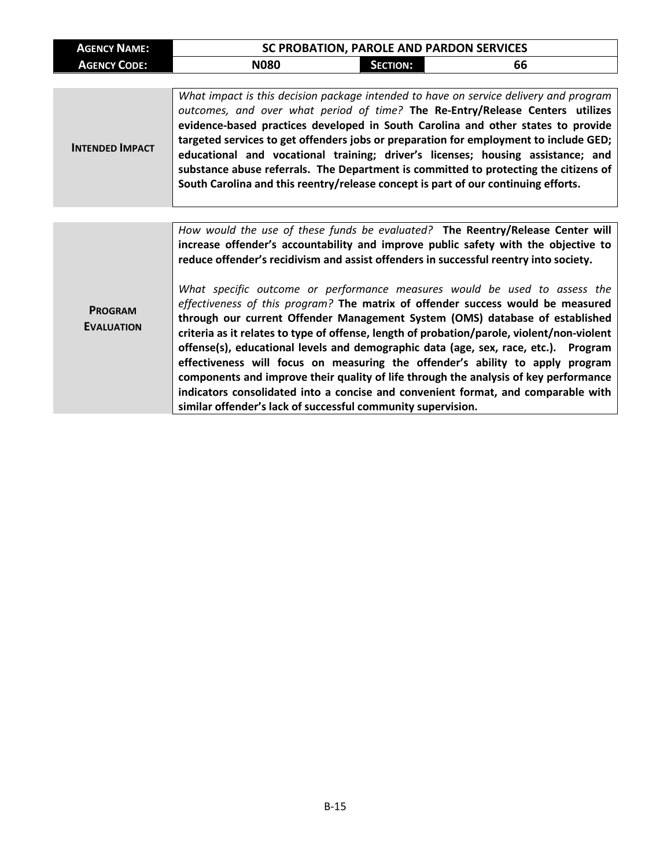| <b>AGENCY NAME:</b>                 | SC PROBATION, PAROLE AND PARDON SERVICES                                              |                 |                                                                                                                                                                                                                                                                                                                                                                                                                                                                                                                                                                                                                                                                                                 |  |  |  |  |
|-------------------------------------|---------------------------------------------------------------------------------------|-----------------|-------------------------------------------------------------------------------------------------------------------------------------------------------------------------------------------------------------------------------------------------------------------------------------------------------------------------------------------------------------------------------------------------------------------------------------------------------------------------------------------------------------------------------------------------------------------------------------------------------------------------------------------------------------------------------------------------|--|--|--|--|
| <b>AGENCY CODE:</b>                 | <b>N080</b>                                                                           | <b>SECTION:</b> | 66                                                                                                                                                                                                                                                                                                                                                                                                                                                                                                                                                                                                                                                                                              |  |  |  |  |
| <b>INTENDED IMPACT</b>              |                                                                                       |                 | What impact is this decision package intended to have on service delivery and program<br>outcomes, and over what period of time? The Re-Entry/Release Centers utilizes<br>evidence-based practices developed in South Carolina and other states to provide<br>targeted services to get offenders jobs or preparation for employment to include GED;<br>educational and vocational training; driver's licenses; housing assistance; and<br>substance abuse referrals. The Department is committed to protecting the citizens of                                                                                                                                                                  |  |  |  |  |
|                                     | South Carolina and this reentry/release concept is part of our continuing efforts.    |                 |                                                                                                                                                                                                                                                                                                                                                                                                                                                                                                                                                                                                                                                                                                 |  |  |  |  |
|                                     |                                                                                       |                 |                                                                                                                                                                                                                                                                                                                                                                                                                                                                                                                                                                                                                                                                                                 |  |  |  |  |
|                                     | reduce offender's recidivism and assist offenders in successful reentry into society. |                 | How would the use of these funds be evaluated? The Reentry/Release Center will<br>increase offender's accountability and improve public safety with the objective to                                                                                                                                                                                                                                                                                                                                                                                                                                                                                                                            |  |  |  |  |
| <b>PROGRAM</b><br><b>EVALUATION</b> | similar offender's lack of successful community supervision.                          |                 | What specific outcome or performance measures would be used to assess the<br>effectiveness of this program? The matrix of offender success would be measured<br>through our current Offender Management System (OMS) database of established<br>criteria as it relates to type of offense, length of probation/parole, violent/non-violent<br>offense(s), educational levels and demographic data (age, sex, race, etc.). Program<br>effectiveness will focus on measuring the offender's ability to apply program<br>components and improve their quality of life through the analysis of key performance<br>indicators consolidated into a concise and convenient format, and comparable with |  |  |  |  |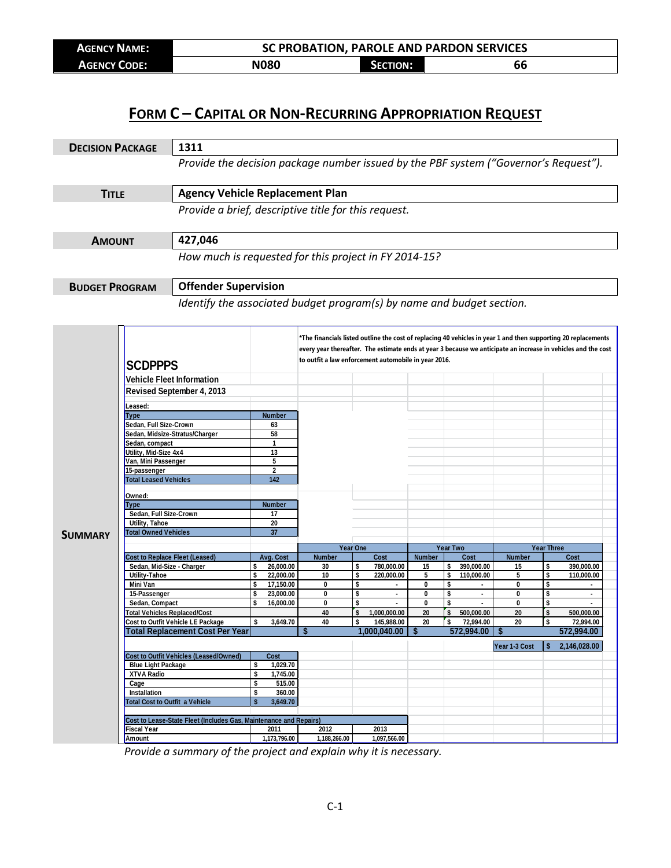| <b>AGENCY NAME:</b> | SC PROBATION, PAROLE AND PARDON SERVICES |          |    |  |  |  |
|---------------------|------------------------------------------|----------|----|--|--|--|
| <b>AGENCY CODE:</b> | N080                                     | SECTION: | 66 |  |  |  |

### **FORM C – CAPITAL OR NON-RECURRING APPROPRIATION REQUEST**

| <b>DECISION PACKAGE</b> |                                          | 1311                                                                                 |                                                       |                                                      |          |                                  |        |            |                                  |               |                   |                                                                                                                |
|-------------------------|------------------------------------------|--------------------------------------------------------------------------------------|-------------------------------------------------------|------------------------------------------------------|----------|----------------------------------|--------|------------|----------------------------------|---------------|-------------------|----------------------------------------------------------------------------------------------------------------|
|                         |                                          | Provide the decision package number issued by the PBF system ("Governor's Request"). |                                                       |                                                      |          |                                  |        |            |                                  |               |                   |                                                                                                                |
| <b>TITLE</b>            |                                          | <b>Agency Vehicle Replacement Plan</b>                                               |                                                       |                                                      |          |                                  |        |            |                                  |               |                   |                                                                                                                |
|                         |                                          |                                                                                      | Provide a brief, descriptive title for this request.  |                                                      |          |                                  |        |            |                                  |               |                   |                                                                                                                |
| <b>AMOUNT</b>           |                                          | 427,046                                                                              |                                                       |                                                      |          |                                  |        |            |                                  |               |                   |                                                                                                                |
|                         |                                          |                                                                                      | How much is requested for this project in FY 2014-15? |                                                      |          |                                  |        |            |                                  |               |                   |                                                                                                                |
| <b>BUDGET PROGRAM</b>   |                                          |                                                                                      | <b>Offender Supervision</b>                           |                                                      |          |                                  |        |            |                                  |               |                   |                                                                                                                |
|                         |                                          | Identify the associated budget program(s) by name and budget section.                |                                                       |                                                      |          |                                  |        |            |                                  |               |                   |                                                                                                                |
|                         |                                          |                                                                                      |                                                       |                                                      |          |                                  |        |            |                                  |               |                   | *The financials listed outline the cost of replacing 40 vehicles in year 1 and then supporting 20 replacements |
|                         | <b>SCDPPPS</b>                           |                                                                                      |                                                       | to outfit a law enforcement automobile in year 2016. |          |                                  |        |            |                                  |               |                   | every year thereafter. The estimate ends at year 3 because we anticipate an increase in vehicles and the cost  |
|                         |                                          | <b>Vehicle Fleet Information</b>                                                     |                                                       |                                                      |          |                                  |        |            |                                  |               |                   |                                                                                                                |
|                         |                                          | <b>Revised September 4, 2013</b>                                                     |                                                       |                                                      |          |                                  |        |            |                                  |               |                   |                                                                                                                |
|                         | Leased:                                  |                                                                                      |                                                       |                                                      |          |                                  |        |            |                                  |               |                   |                                                                                                                |
|                         | <b>Type</b>                              |                                                                                      | <b>Number</b>                                         |                                                      |          |                                  |        |            |                                  |               |                   |                                                                                                                |
|                         | Sedan, Full Size-Crown                   | Sedan, Midsize-Stratus/Charger                                                       | 63<br>58                                              |                                                      |          |                                  |        |            |                                  |               |                   |                                                                                                                |
|                         | Sedan, compact                           |                                                                                      | 1                                                     |                                                      |          |                                  |        |            |                                  |               |                   |                                                                                                                |
|                         | Utility, Mid-Size 4x4                    |                                                                                      | 13                                                    |                                                      |          |                                  |        |            |                                  |               |                   |                                                                                                                |
|                         | Van, Mini Passenger                      |                                                                                      | 5                                                     |                                                      |          |                                  |        |            |                                  |               |                   |                                                                                                                |
|                         | 15-passenger                             |                                                                                      | $\overline{\mathbf{2}}$                               |                                                      |          |                                  |        |            |                                  |               |                   |                                                                                                                |
|                         | <b>Total Leased Vehicles</b>             |                                                                                      | 142                                                   |                                                      |          |                                  |        |            |                                  |               |                   |                                                                                                                |
|                         | Owned:                                   |                                                                                      |                                                       |                                                      |          |                                  |        |            |                                  |               |                   |                                                                                                                |
|                         | <b>Type</b>                              |                                                                                      | <b>Number</b>                                         |                                                      |          |                                  |        |            |                                  |               |                   |                                                                                                                |
|                         | Sedan, Full Size-Crown<br>Utility, Tahoe |                                                                                      | 17<br>20                                              |                                                      |          |                                  |        |            |                                  |               |                   |                                                                                                                |
| <b>SUMMARY</b>          | <b>Total Owned Vehicles</b>              |                                                                                      | 37                                                    |                                                      |          |                                  |        |            |                                  |               |                   |                                                                                                                |
|                         |                                          |                                                                                      |                                                       |                                                      |          |                                  |        |            |                                  |               |                   |                                                                                                                |
|                         | <b>Cost to Replace Fleet (Leased)</b>    |                                                                                      | Avg. Cost                                             | <b>Number</b>                                        | Year One | Cost                             | Number | Year Two   | Cost                             | <b>Number</b> | <b>Year Three</b> | Cost                                                                                                           |
|                         | Sedan, Mid-Size - Charger                |                                                                                      | 26,000.00<br>\$                                       | 30                                                   | \$       | 780,000.00                       | 15     | \$         | 390,000.00                       | 15            | \$                | 390,000.00                                                                                                     |
|                         | <b>Utility-Tahoe</b>                     |                                                                                      | \$<br>22,000.00                                       | 10                                                   | \$       | 220,000.00                       | 5      | \$         | 110,000.00                       | 5             | \$                | 110,000.00                                                                                                     |
|                         | Mini Van                                 |                                                                                      | \$<br>17,150.00                                       | 0                                                    | \$       |                                  | 0      | \$         |                                  | 0             | \$                |                                                                                                                |
|                         | 15-Passenger<br>Sedan, Compact           |                                                                                      | \$<br>23,000.00<br>\$<br>16,000.00                    | 0<br>0                                               | \$<br>\$ | $\blacksquare$<br>$\blacksquare$ | 0<br>0 | \$<br>\$   | $\blacksquare$<br>$\blacksquare$ | 0<br>0        | \$<br>\$          | $\blacksquare$                                                                                                 |
|                         | <b>Total Vehicles Replaced/Cost</b>      |                                                                                      |                                                       | 40                                                   | \$       | 1,000,000.00                     | 20     | $\sqrt{2}$ | 500,000.00                       | 20            | $\mathbf{s}$      | 500,000.00                                                                                                     |
|                         |                                          | Cost to Outfit Vehicle LE Package                                                    | \$<br>3,649.70                                        | 40                                                   | \$       | 145,988.00                       | 20     | \$         | 72,994.00                        | 20            | \$                | 72,994.00                                                                                                      |
|                         |                                          | Total Replacement Cost Per Year                                                      |                                                       | \$                                                   |          | $1,000,040.00$ \ \$              |        |            | 572,994.00                       | \$            |                   | 572,994.00                                                                                                     |
|                         |                                          |                                                                                      |                                                       |                                                      |          |                                  |        |            |                                  | Year 1-3 Cost | -S                | 2,146,028.00                                                                                                   |
|                         |                                          | <b>Cost to Outfit Vehicles (Leased/Owned)</b>                                        | Cost                                                  |                                                      |          |                                  |        |            |                                  |               |                   |                                                                                                                |
|                         | <b>Blue Light Package</b>                |                                                                                      | \$<br>1,029.70                                        |                                                      |          |                                  |        |            |                                  |               |                   |                                                                                                                |
|                         | XTVA Radio                               |                                                                                      | \$<br>1,745.00                                        |                                                      |          |                                  |        |            |                                  |               |                   |                                                                                                                |
|                         | Cage<br>Installation                     |                                                                                      | \$<br>515.00<br>\$<br>360.00                          |                                                      |          |                                  |        |            |                                  |               |                   |                                                                                                                |
|                         | <b>Total Cost to Outfit a Vehicle</b>    |                                                                                      | Ŝ<br>3,649.70                                         |                                                      |          |                                  |        |            |                                  |               |                   |                                                                                                                |
|                         |                                          |                                                                                      |                                                       |                                                      |          |                                  |        |            |                                  |               |                   |                                                                                                                |
|                         |                                          | Cost to Lease-State Fleet (Includes Gas, Maintenance and Repairs)                    |                                                       |                                                      |          |                                  |        |            |                                  |               |                   |                                                                                                                |

**Prices and Year**<br> **Provide a summary of the project and explain why it is necessary.**<br> **Provide a summary of the project and explain why it is necessary.** 

**Fiscal Year 2011 2012 2013** Amount 1,173,796.00 **1,173,796.00** 1,188,266.00 **1,198,266.00**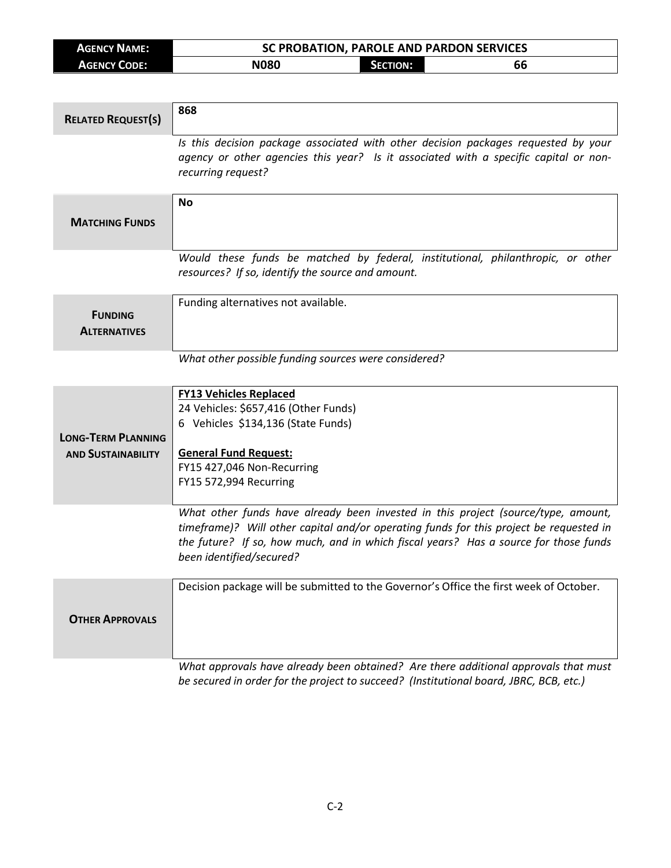| <b>AGENCY NAME:</b> | SC PROBATION, PAROLE AND PARDON SERVICES |                 |    |  |  |
|---------------------|------------------------------------------|-----------------|----|--|--|
| <b>AGENCY CODE:</b> | N080                                     | <b>SECTION:</b> | 66 |  |  |

| <b>RELATED REQUEST(S)</b>                              | 868                                                                                                                                                                                                                                                                                             |
|--------------------------------------------------------|-------------------------------------------------------------------------------------------------------------------------------------------------------------------------------------------------------------------------------------------------------------------------------------------------|
|                                                        | Is this decision package associated with other decision packages requested by your<br>agency or other agencies this year? Is it associated with a specific capital or non-<br>recurring request?                                                                                                |
| <b>MATCHING FUNDS</b>                                  | <b>No</b>                                                                                                                                                                                                                                                                                       |
|                                                        | Would these funds be matched by federal, institutional, philanthropic, or other<br>resources? If so, identify the source and amount.                                                                                                                                                            |
| <b>FUNDING</b><br><b>ALTERNATIVES</b>                  | Funding alternatives not available.                                                                                                                                                                                                                                                             |
|                                                        | What other possible funding sources were considered?                                                                                                                                                                                                                                            |
| <b>LONG-TERM PLANNING</b><br><b>AND SUSTAINABILITY</b> | <b>FY13 Vehicles Replaced</b><br>24 Vehicles: \$657,416 (Other Funds)<br>6 Vehicles \$134,136 (State Funds)<br><b>General Fund Request:</b><br>FY15 427,046 Non-Recurring<br>FY15 572,994 Recurring                                                                                             |
|                                                        | What other funds have already been invested in this project (source/type, amount,<br>timeframe)? Will other capital and/or operating funds for this project be requested in<br>the future? If so, how much, and in which fiscal years? Has a source for those funds<br>been identified/secured? |
| <b>OTHER APPROVALS</b>                                 | Decision package will be submitted to the Governor's Office the first week of October.                                                                                                                                                                                                          |
|                                                        | What approvals have already been obtained? Are there additional approvals that must<br>be secured in order for the project to succeed? (Institutional board, JBRC, BCB, etc.)                                                                                                                   |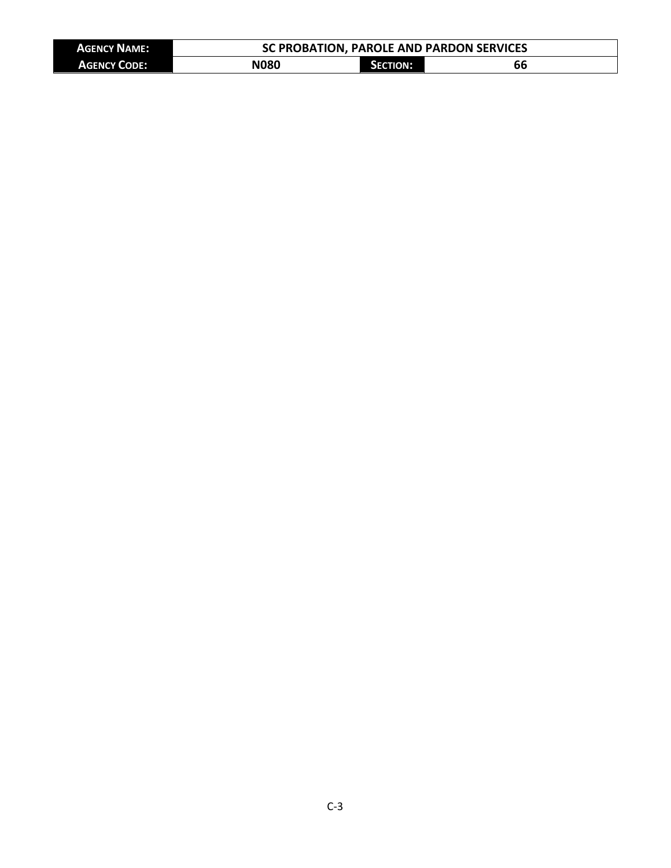| <b>AGENCY NAME:</b> | SC PROBATION, PAROLE AND PARDON SERVICES |                 |    |  |  |
|---------------------|------------------------------------------|-----------------|----|--|--|
| <b>AGENCY CODE:</b> | N080                                     | <b>SECTION:</b> | 66 |  |  |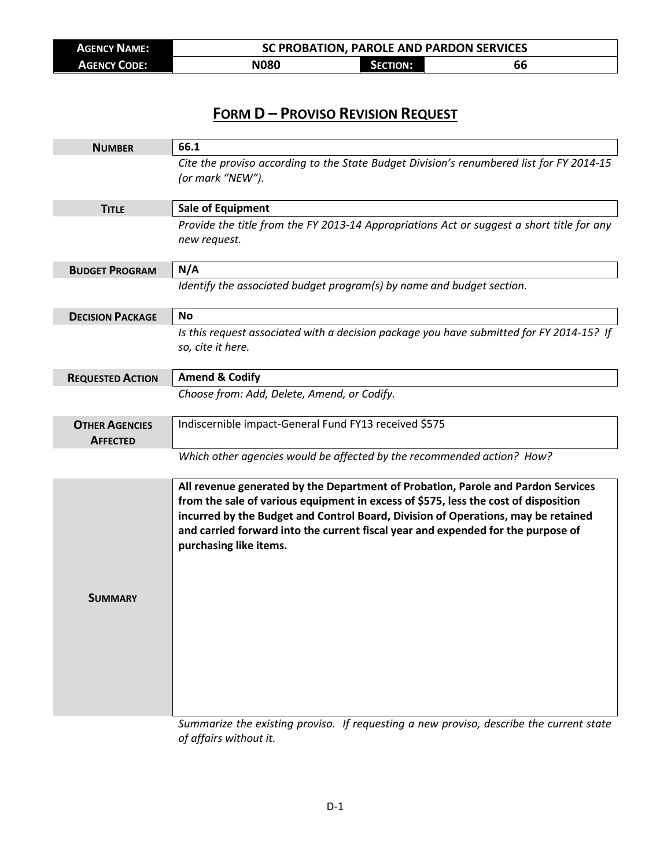| <b>AGENCY NAME:</b> | SC PROBATION, PAROLE AND PARDON SERVICES |                 |    |  |  |  |
|---------------------|------------------------------------------|-----------------|----|--|--|--|
| <b>AGENCY CODE:</b> | N080                                     | <b>SECTION:</b> | ot |  |  |  |

### **FORM D – PROVISO REVISION REQUEST**

| <b>NUMBER</b>                            | 66.1                                                                                                                                                                                                                                                                                                                                                                       |
|------------------------------------------|----------------------------------------------------------------------------------------------------------------------------------------------------------------------------------------------------------------------------------------------------------------------------------------------------------------------------------------------------------------------------|
|                                          | Cite the proviso according to the State Budget Division's renumbered list for FY 2014-15<br>(or mark "NEW").                                                                                                                                                                                                                                                               |
| <b>TITLE</b>                             | <b>Sale of Equipment</b>                                                                                                                                                                                                                                                                                                                                                   |
|                                          | Provide the title from the FY 2013-14 Appropriations Act or suggest a short title for any<br>new request.                                                                                                                                                                                                                                                                  |
| <b>BUDGET PROGRAM</b>                    | N/A                                                                                                                                                                                                                                                                                                                                                                        |
|                                          | Identify the associated budget program(s) by name and budget section.                                                                                                                                                                                                                                                                                                      |
| <b>DECISION PACKAGE</b>                  | <b>No</b>                                                                                                                                                                                                                                                                                                                                                                  |
|                                          | Is this request associated with a decision package you have submitted for FY 2014-15? If<br>so, cite it here.                                                                                                                                                                                                                                                              |
| <b>REQUESTED ACTION</b>                  | <b>Amend &amp; Codify</b>                                                                                                                                                                                                                                                                                                                                                  |
|                                          | Choose from: Add, Delete, Amend, or Codify.                                                                                                                                                                                                                                                                                                                                |
| <b>OTHER AGENCIES</b><br><b>AFFECTED</b> | Indiscernible impact-General Fund FY13 received \$575                                                                                                                                                                                                                                                                                                                      |
|                                          | Which other agencies would be affected by the recommended action? How?                                                                                                                                                                                                                                                                                                     |
| <b>SUMMARY</b>                           | All revenue generated by the Department of Probation, Parole and Pardon Services<br>from the sale of various equipment in excess of \$575, less the cost of disposition<br>incurred by the Budget and Control Board, Division of Operations, may be retained<br>and carried forward into the current fiscal year and expended for the purpose of<br>purchasing like items. |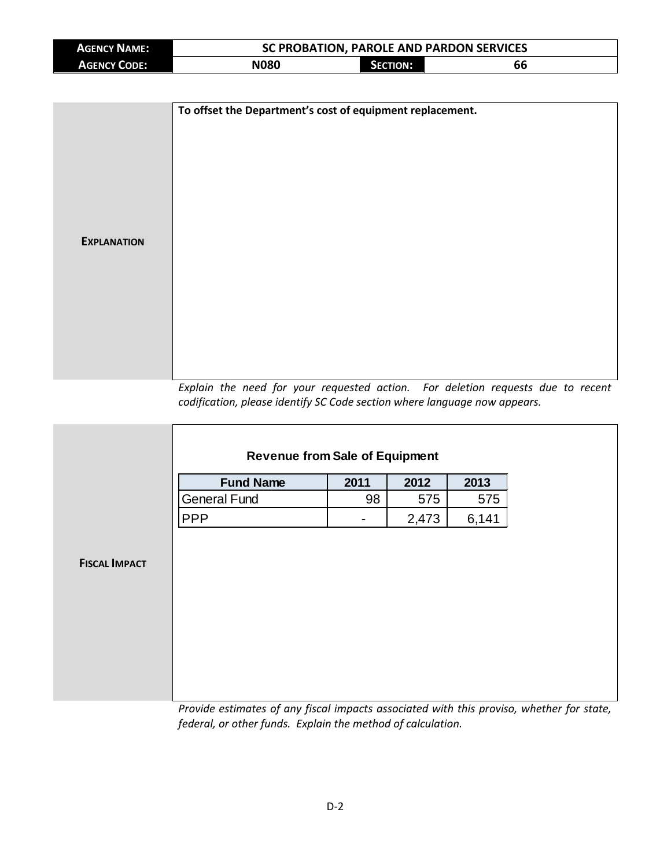| <b>AGENCY NAME:</b> |             | SC PROBATION, PAROLE AND PARDON SERVICES |    |  |
|---------------------|-------------|------------------------------------------|----|--|
| AGENCY CODE:        | <b>N080</b> | <b>SECTION:</b>                          | 66 |  |

|                    | To offset the Department's cost of equipment replacement.                                                                                                                                                                             |
|--------------------|---------------------------------------------------------------------------------------------------------------------------------------------------------------------------------------------------------------------------------------|
| <b>EXPLANATION</b> |                                                                                                                                                                                                                                       |
|                    |                                                                                                                                                                                                                                       |
|                    | $\blacksquare$ . The contribution of the contribution of the contribution of the contribution of the contribution of the contribution of the contribution of the contribution of the contribution of the contribution of the contribu |

*Explain the need for your requested action. For deletion requests due to recent codification, please identify SC Code section where language now appears.*

|                      | <b>Revenue from Sale of Equipment</b> |                          |       |       |
|----------------------|---------------------------------------|--------------------------|-------|-------|
|                      | <b>Fund Name</b>                      | 2011                     | 2012  | 2013  |
|                      | <b>General Fund</b>                   | 98                       | 575   | 575   |
|                      | <b>PPP</b>                            | $\overline{\phantom{a}}$ | 2,473 | 6,141 |
| <b>FISCAL IMPACT</b> |                                       |                          |       |       |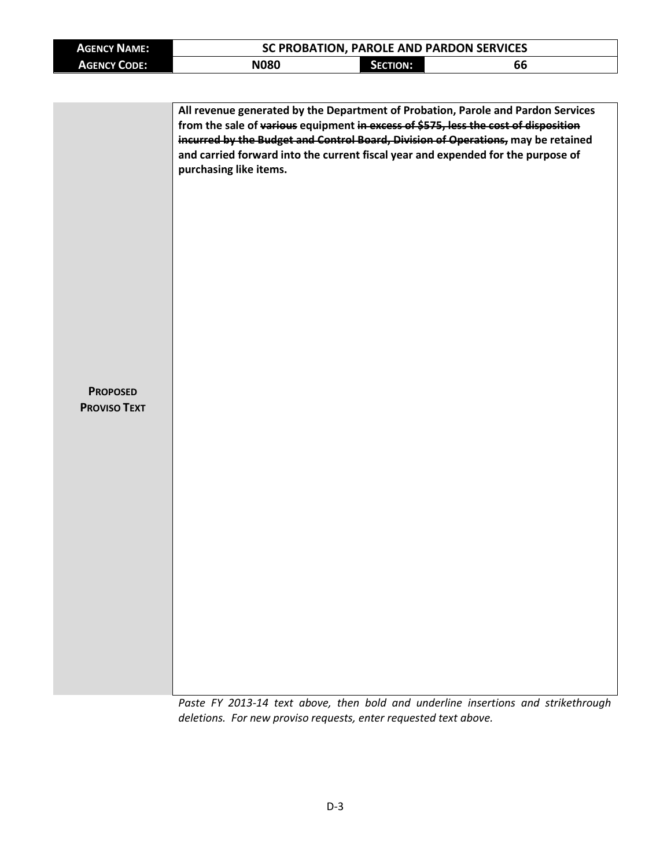| <b>AGENCY NAME:</b> | SC PROBATION, PAROLE AND PARDON SERVICES |                 |    |  |
|---------------------|------------------------------------------|-----------------|----|--|
| <b>AGENCY CODE:</b> | <b>N080</b>                              | <b>SECTION:</b> | 66 |  |

| All revenue generated by the Department of Probation, Parole and Pardon Services    |
|-------------------------------------------------------------------------------------|
| from the sale of various equipment in excess of \$575, less the cost of disposition |
| incurred by the Budget and Control Board, Division of Operations, may be retained   |
| and carried forward into the current fiscal year and expended for the purpose of    |
| purchasing like items.                                                              |

**PROPOSED PROVISO TEXT**

> *Paste FY 2013-14 text above, then bold and underline insertions and strikethrough deletions. For new proviso requests, enter requested text above.*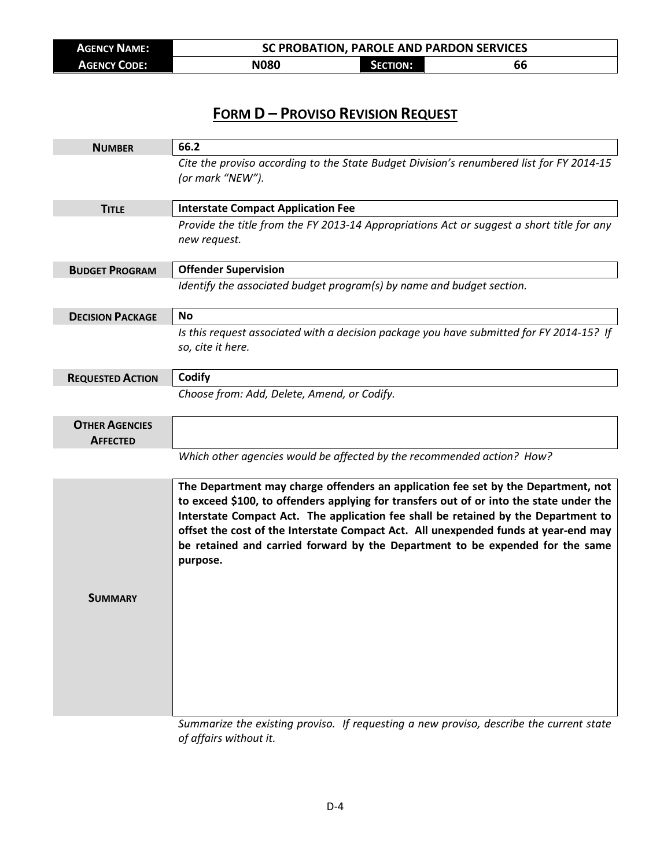| <b>AGENCY NAME:</b> | SC PROBATION, PAROLE AND PARDON SERVICES |                 |    |  |
|---------------------|------------------------------------------|-----------------|----|--|
| <b>AGENCY CODE:</b> | N080                                     | <b>SECTION:</b> | ьt |  |

### **FORM D – PROVISO REVISION REQUEST**

| <b>NUMBER</b>                            | 66.2                                                                                                                                                                                                                                                                                                                                                                                                                                                   |
|------------------------------------------|--------------------------------------------------------------------------------------------------------------------------------------------------------------------------------------------------------------------------------------------------------------------------------------------------------------------------------------------------------------------------------------------------------------------------------------------------------|
|                                          | Cite the proviso according to the State Budget Division's renumbered list for FY 2014-15<br>(or mark "NEW").                                                                                                                                                                                                                                                                                                                                           |
| <b>TITLE</b>                             | <b>Interstate Compact Application Fee</b>                                                                                                                                                                                                                                                                                                                                                                                                              |
|                                          | Provide the title from the FY 2013-14 Appropriations Act or suggest a short title for any<br>new request.                                                                                                                                                                                                                                                                                                                                              |
| <b>BUDGET PROGRAM</b>                    | <b>Offender Supervision</b>                                                                                                                                                                                                                                                                                                                                                                                                                            |
|                                          | Identify the associated budget program(s) by name and budget section.                                                                                                                                                                                                                                                                                                                                                                                  |
| <b>DECISION PACKAGE</b>                  | No                                                                                                                                                                                                                                                                                                                                                                                                                                                     |
|                                          | Is this request associated with a decision package you have submitted for FY 2014-15? If<br>so, cite it here.                                                                                                                                                                                                                                                                                                                                          |
| <b>REQUESTED ACTION</b>                  | Codify                                                                                                                                                                                                                                                                                                                                                                                                                                                 |
|                                          | Choose from: Add, Delete, Amend, or Codify.                                                                                                                                                                                                                                                                                                                                                                                                            |
| <b>OTHER AGENCIES</b><br><b>AFFECTED</b> |                                                                                                                                                                                                                                                                                                                                                                                                                                                        |
|                                          | Which other agencies would be affected by the recommended action? How?                                                                                                                                                                                                                                                                                                                                                                                 |
| <b>SUMMARY</b>                           | The Department may charge offenders an application fee set by the Department, not<br>to exceed \$100, to offenders applying for transfers out of or into the state under the<br>Interstate Compact Act. The application fee shall be retained by the Department to<br>offset the cost of the Interstate Compact Act. All unexpended funds at year-end may<br>be retained and carried forward by the Department to be expended for the same<br>purpose. |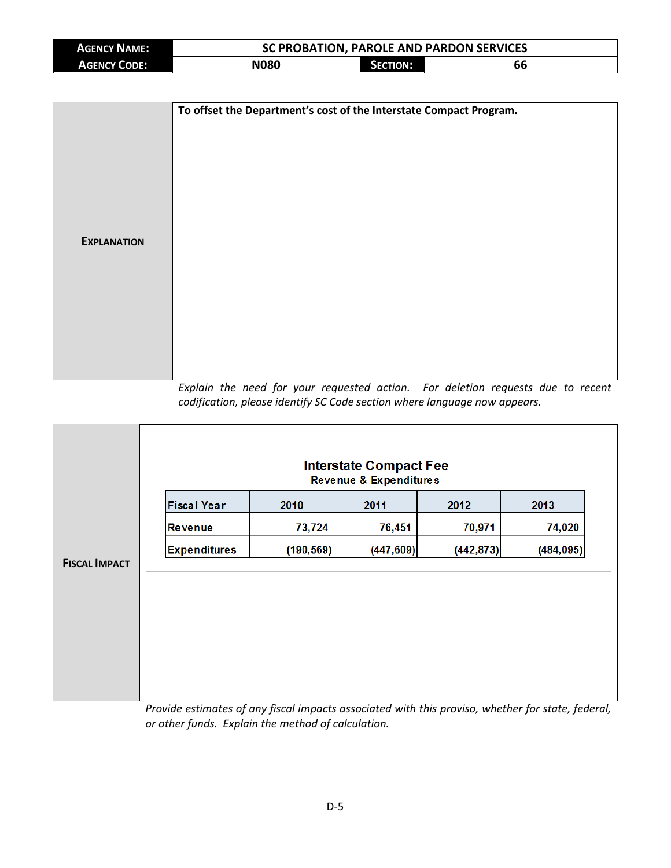| <b>AGENCY NAME:</b> | SC PROBATION, PAROLE AND PARDON SERVICES |                 |    |  |
|---------------------|------------------------------------------|-----------------|----|--|
| <b>AGENCY CODE:</b> | <b>N080</b>                              | <b>SECTION:</b> | 66 |  |

| <b>EXPLANATION</b> | To offset the Department's cost of the Interstate Compact Program.       |
|--------------------|--------------------------------------------------------------------------|
|                    | $\sim$<br>$\overline{\phantom{a}}$<br>$\sim$<br>$\overline{\phantom{a}}$ |

*Explain the need for your requested action. For deletion requests due to recent codification, please identify SC Code section where language now appears.*

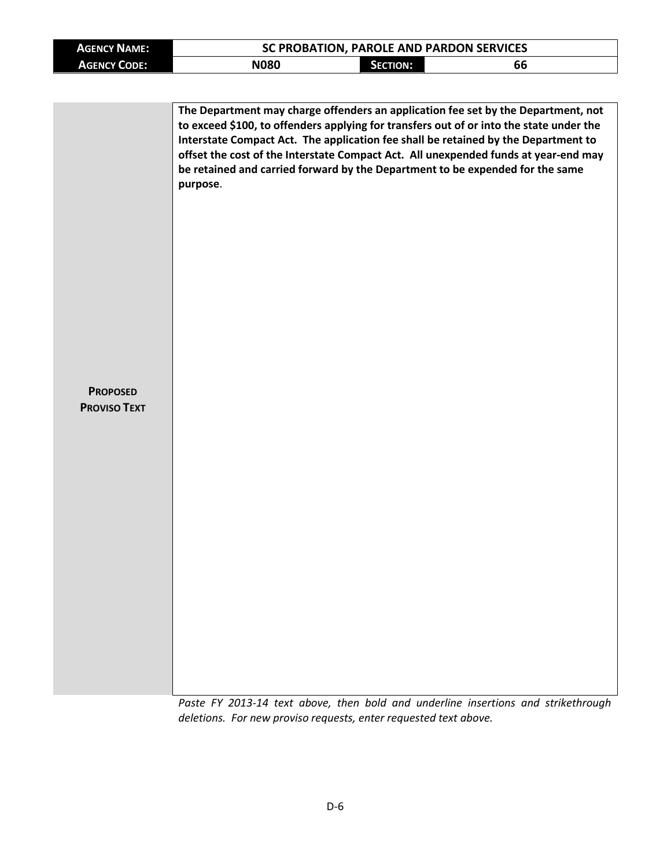| <b>AGENCY NAME:</b> | SC PROBATION, PAROLE AND PARDON SERVICES |                 |    |  |
|---------------------|------------------------------------------|-----------------|----|--|
| <b>AGENCY CODE:</b> | N080                                     | <b>SECTION:</b> | 66 |  |

| The Department may charge offenders an application fee set by the Department, not       |
|-----------------------------------------------------------------------------------------|
| to exceed \$100, to offenders applying for transfers out of or into the state under the |
| Interstate Compact Act. The application fee shall be retained by the Department to      |
| offset the cost of the Interstate Compact Act. All unexpended funds at year-end may     |
| be retained and carried forward by the Department to be expended for the same           |
| purpose.                                                                                |

**PROPOSED PROVISO TEXT**

> *Paste FY 2013-14 text above, then bold and underline insertions and strikethrough deletions. For new proviso requests, enter requested text above.*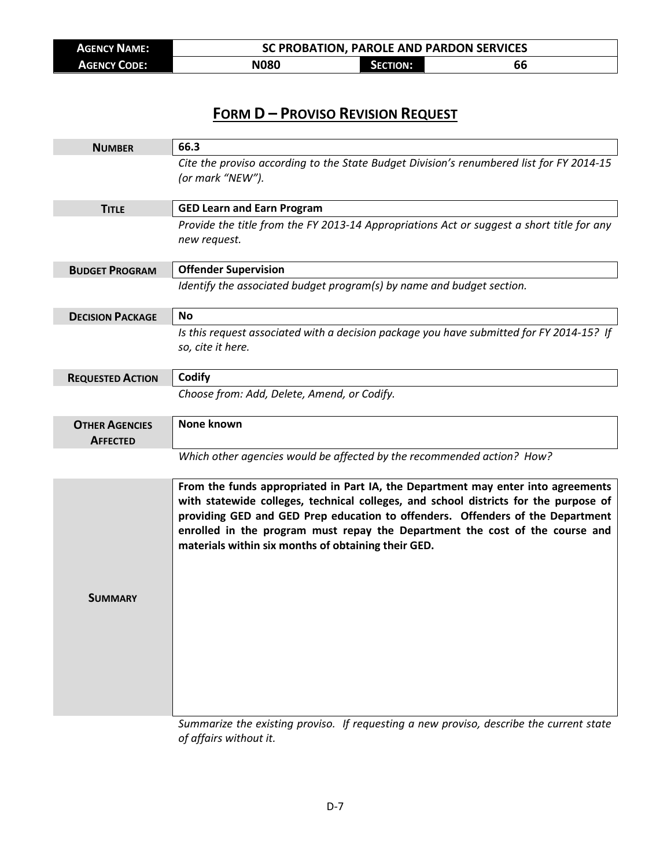| <b>AGENCY NAME:</b> | SC PROBATION, PAROLE AND PARDON SERVICES |                 |    |  |
|---------------------|------------------------------------------|-----------------|----|--|
| <b>AGENCY CODE:</b> | N080                                     | <b>SECTION:</b> | ьt |  |

### **FORM D – PROVISO REVISION REQUEST**

| <b>NUMBER</b>                            | 66.3                                                                                                                                                                                                                                                                                                                                                                                              |
|------------------------------------------|---------------------------------------------------------------------------------------------------------------------------------------------------------------------------------------------------------------------------------------------------------------------------------------------------------------------------------------------------------------------------------------------------|
|                                          | Cite the proviso according to the State Budget Division's renumbered list for FY 2014-15<br>(or mark "NEW").                                                                                                                                                                                                                                                                                      |
| <b>TITLE</b>                             | <b>GED Learn and Earn Program</b>                                                                                                                                                                                                                                                                                                                                                                 |
|                                          | Provide the title from the FY 2013-14 Appropriations Act or suggest a short title for any<br>new request.                                                                                                                                                                                                                                                                                         |
| <b>BUDGET PROGRAM</b>                    | <b>Offender Supervision</b>                                                                                                                                                                                                                                                                                                                                                                       |
|                                          | Identify the associated budget program(s) by name and budget section.                                                                                                                                                                                                                                                                                                                             |
| <b>DECISION PACKAGE</b>                  | <b>No</b>                                                                                                                                                                                                                                                                                                                                                                                         |
|                                          | Is this request associated with a decision package you have submitted for FY 2014-15? If<br>so, cite it here.                                                                                                                                                                                                                                                                                     |
| <b>REQUESTED ACTION</b>                  | Codify                                                                                                                                                                                                                                                                                                                                                                                            |
|                                          | Choose from: Add, Delete, Amend, or Codify.                                                                                                                                                                                                                                                                                                                                                       |
| <b>OTHER AGENCIES</b><br><b>AFFECTED</b> | None known                                                                                                                                                                                                                                                                                                                                                                                        |
|                                          | Which other agencies would be affected by the recommended action? How?                                                                                                                                                                                                                                                                                                                            |
| <b>SUMMARY</b>                           | From the funds appropriated in Part IA, the Department may enter into agreements<br>with statewide colleges, technical colleges, and school districts for the purpose of<br>providing GED and GED Prep education to offenders. Offenders of the Department<br>enrolled in the program must repay the Department the cost of the course and<br>materials within six months of obtaining their GED. |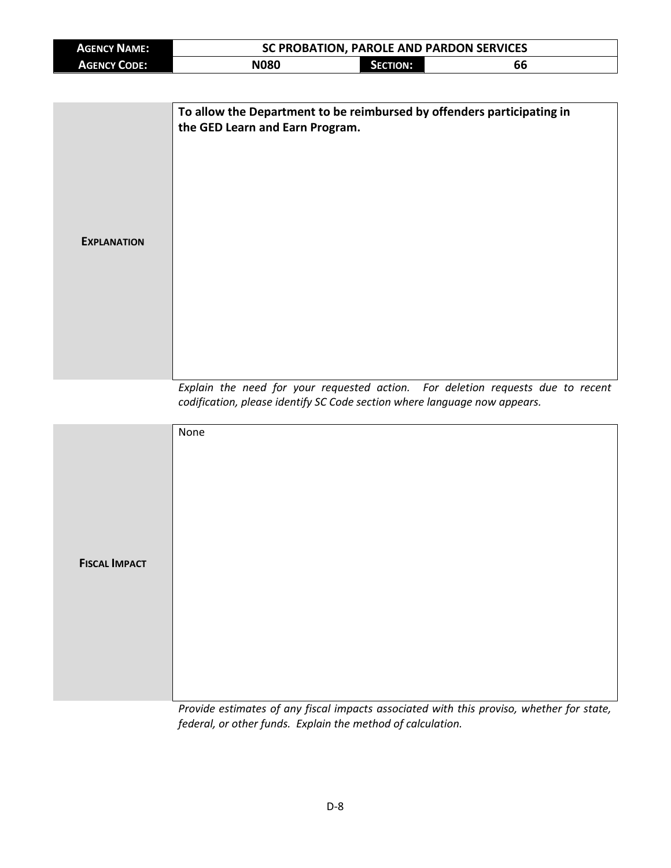| <b>AGENCY NAME:</b> | SC PROBATION, PAROLE AND PARDON SERVICES |                 |    |  |
|---------------------|------------------------------------------|-----------------|----|--|
| AGENCY CODE:        | <b>N080</b>                              | <b>SECTION:</b> | 66 |  |

| <b>EXPLANATION</b> | To allow the Department to be reimbursed by offenders participating in<br>the GED Learn and Earn Program.                                                    |
|--------------------|--------------------------------------------------------------------------------------------------------------------------------------------------------------|
|                    | Explain the need for your requested action. For deletion requests due to recent<br>codification, please identify SC Code section where language now appears. |

|                      | None |
|----------------------|------|
|                      |      |
|                      |      |
|                      |      |
|                      |      |
| <b>FISCAL IMPACT</b> |      |
|                      |      |
|                      |      |
|                      |      |
|                      |      |
|                      |      |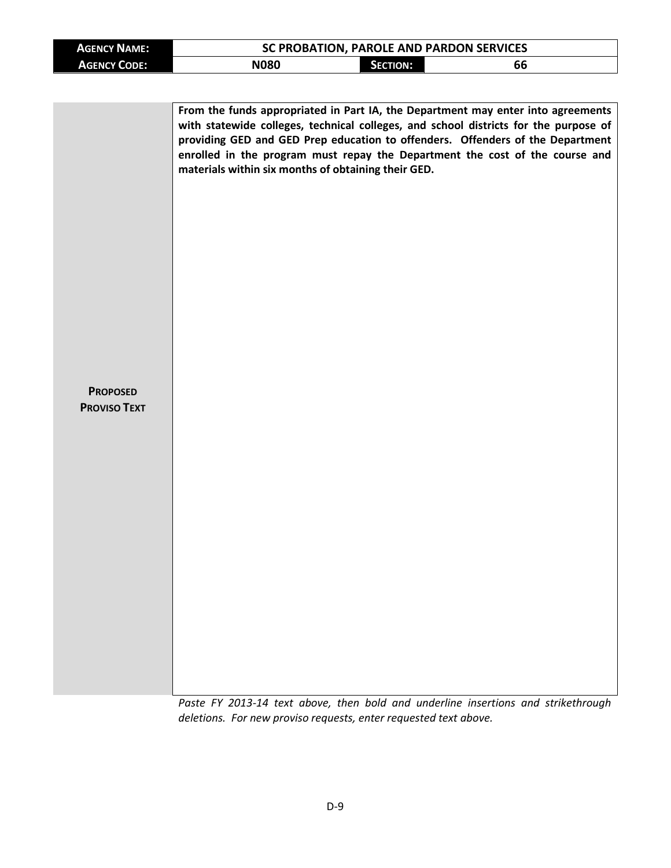| <b>AGENCY NAME:</b> | SC PROBATION, PAROLE AND PARDON SERVICES |                 |    |  |
|---------------------|------------------------------------------|-----------------|----|--|
| <b>AGENCY CODE:</b> | <b>N080</b>                              | <b>SECTION:</b> | 66 |  |

|                                        | From the funds appropriated in Part IA, the Department may enter into agreements<br>with statewide colleges, technical colleges, and school districts for the purpose of<br>providing GED and GED Prep education to offenders. Offenders of the Department<br>enrolled in the program must repay the Department the cost of the course and<br>materials within six months of obtaining their GED. |
|----------------------------------------|---------------------------------------------------------------------------------------------------------------------------------------------------------------------------------------------------------------------------------------------------------------------------------------------------------------------------------------------------------------------------------------------------|
|                                        |                                                                                                                                                                                                                                                                                                                                                                                                   |
| <b>PROPOSED</b><br><b>PROVISO TEXT</b> |                                                                                                                                                                                                                                                                                                                                                                                                   |
|                                        |                                                                                                                                                                                                                                                                                                                                                                                                   |
|                                        |                                                                                                                                                                                                                                                                                                                                                                                                   |
|                                        |                                                                                                                                                                                                                                                                                                                                                                                                   |
|                                        | Paste FY 2013-14 text above, then bold and underline insertions and strikethrough                                                                                                                                                                                                                                                                                                                 |

*Paste FY 2013-14 text above, then bold and underline insertions and strikethrough deletions. For new proviso requests, enter requested text above.*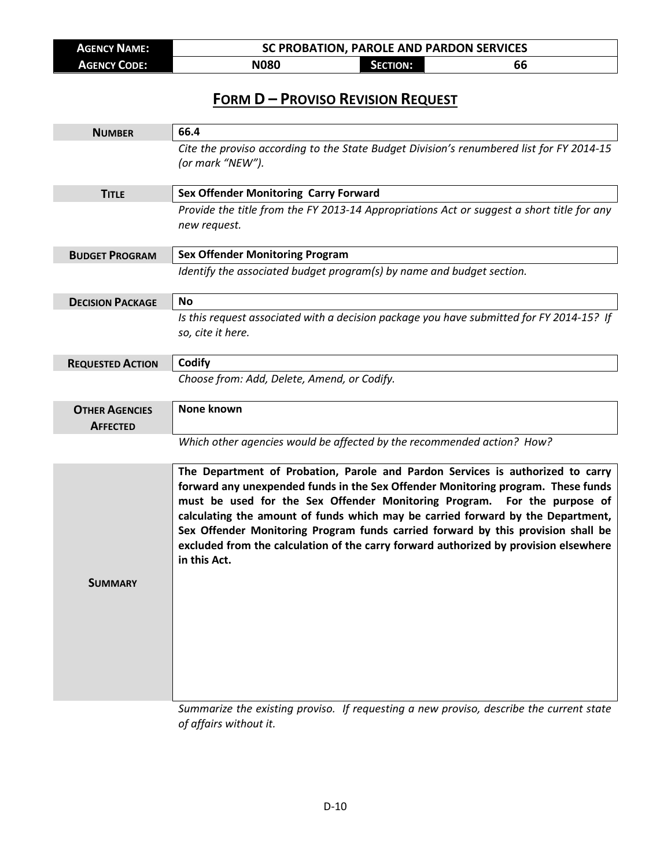| <b>AGENCY NAME:</b> | SC PROBATION, PAROLE AND PARDON SERVICES |                 |    |  |
|---------------------|------------------------------------------|-----------------|----|--|
| <b>AGENCY CODE:</b> | N080                                     | <b>SECTION:</b> | 66 |  |

# **FORM D – PROVISO REVISION REQUEST**

| <b>NUMBER</b>                            | 66.4                                                                                                                                                                                                                                                                                                                                                                                                                                                                                                                             |
|------------------------------------------|----------------------------------------------------------------------------------------------------------------------------------------------------------------------------------------------------------------------------------------------------------------------------------------------------------------------------------------------------------------------------------------------------------------------------------------------------------------------------------------------------------------------------------|
|                                          | Cite the proviso according to the State Budget Division's renumbered list for FY 2014-15<br>(or mark "NEW").                                                                                                                                                                                                                                                                                                                                                                                                                     |
| <b>TITLE</b>                             | Sex Offender Monitoring Carry Forward                                                                                                                                                                                                                                                                                                                                                                                                                                                                                            |
|                                          | Provide the title from the FY 2013-14 Appropriations Act or suggest a short title for any<br>new request.                                                                                                                                                                                                                                                                                                                                                                                                                        |
| <b>BUDGET PROGRAM</b>                    | <b>Sex Offender Monitoring Program</b>                                                                                                                                                                                                                                                                                                                                                                                                                                                                                           |
|                                          | Identify the associated budget program(s) by name and budget section.                                                                                                                                                                                                                                                                                                                                                                                                                                                            |
| <b>DECISION PACKAGE</b>                  | <b>No</b>                                                                                                                                                                                                                                                                                                                                                                                                                                                                                                                        |
|                                          | Is this request associated with a decision package you have submitted for FY 2014-15? If<br>so, cite it here.                                                                                                                                                                                                                                                                                                                                                                                                                    |
| <b>REQUESTED ACTION</b>                  | Codify                                                                                                                                                                                                                                                                                                                                                                                                                                                                                                                           |
|                                          | Choose from: Add, Delete, Amend, or Codify.                                                                                                                                                                                                                                                                                                                                                                                                                                                                                      |
| <b>OTHER AGENCIES</b><br><b>AFFECTED</b> | None known                                                                                                                                                                                                                                                                                                                                                                                                                                                                                                                       |
|                                          | Which other agencies would be affected by the recommended action? How?                                                                                                                                                                                                                                                                                                                                                                                                                                                           |
| <b>SUMMARY</b>                           | The Department of Probation, Parole and Pardon Services is authorized to carry<br>forward any unexpended funds in the Sex Offender Monitoring program. These funds<br>must be used for the Sex Offender Monitoring Program.<br>For the purpose of<br>calculating the amount of funds which may be carried forward by the Department,<br>Sex Offender Monitoring Program funds carried forward by this provision shall be<br>excluded from the calculation of the carry forward authorized by provision elsewhere<br>in this Act. |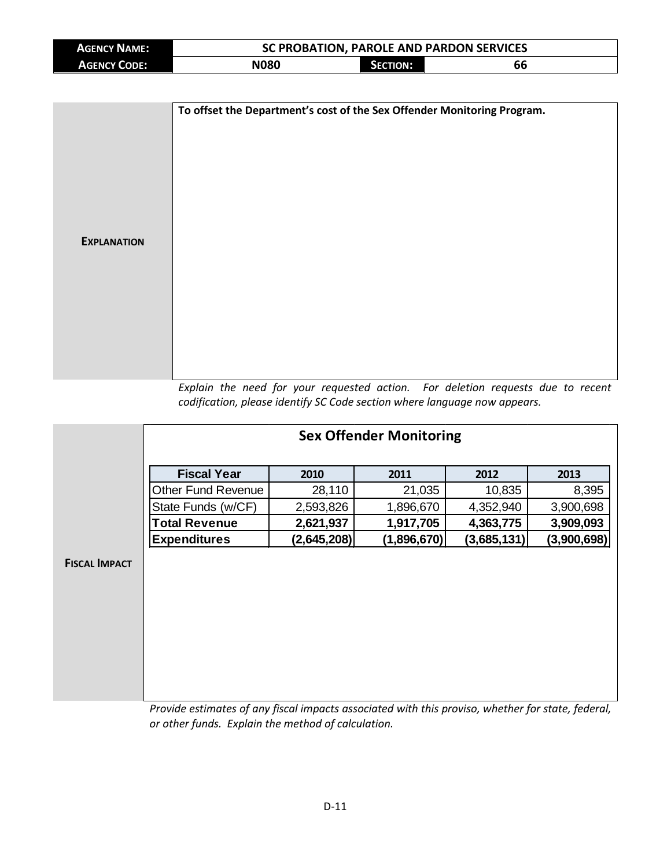| <b>AGENCY NAME:</b> | SC PROBATION, PAROLE AND PARDON SERVICES |            |    |  |
|---------------------|------------------------------------------|------------|----|--|
| AGENCY CODE:        | <b>N080</b>                              | Section: . | 66 |  |

|                    | To offset the Department's cost of the Sex Offender Monitoring Program. |
|--------------------|-------------------------------------------------------------------------|
| <b>EXPLANATION</b> |                                                                         |
|                    |                                                                         |

*Explain the need for your requested action. For deletion requests due to recent codification, please identify SC Code section where language now appears.*

|                      | <b>Sex Offender Monitoring</b> |             |             |             |             |
|----------------------|--------------------------------|-------------|-------------|-------------|-------------|
|                      | <b>Fiscal Year</b>             | 2010        | 2011        | 2012        | 2013        |
|                      | <b>Other Fund Revenue</b>      | 28,110      | 21,035      | 10,835      | 8,395       |
|                      | State Funds (w/CF)             | 2,593,826   | 1,896,670   | 4,352,940   | 3,900,698   |
|                      | <b>Total Revenue</b>           | 2,621,937   | 1,917,705   | 4,363,775   | 3,909,093   |
|                      | <b>Expenditures</b>            | (2,645,208) | (1,896,670) | (3,685,131) | (3,900,698) |
| <b>FISCAL IMPACT</b> |                                |             |             |             |             |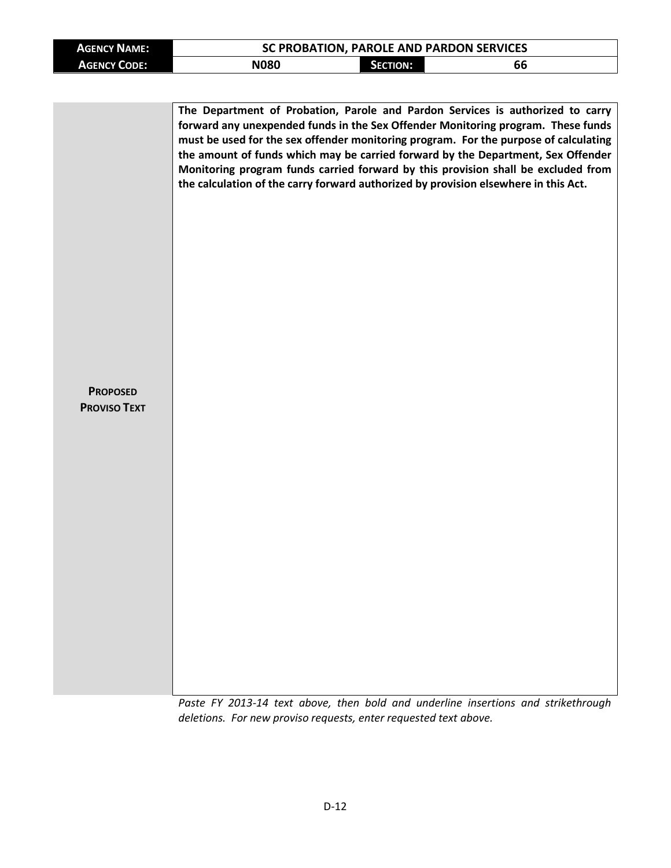| <b>AGENCY NAME:</b> | SC PROBATION, PAROLE AND PARDON SERVICES |                 |    |  |
|---------------------|------------------------------------------|-----------------|----|--|
| <b>AGENCY CODE:</b> | <b>N080</b>                              | <b>SECTION:</b> | 66 |  |

| The Department of Probation, Parole and Pardon Services is authorized to carry       |
|--------------------------------------------------------------------------------------|
| forward any unexpended funds in the Sex Offender Monitoring program. These funds     |
| must be used for the sex offender monitoring program. For the purpose of calculating |
| the amount of funds which may be carried forward by the Department, Sex Offender     |
| Monitoring program funds carried forward by this provision shall be excluded from    |
| the calculation of the carry forward authorized by provision elsewhere in this Act.  |

**PROPOSED PROVISO TEXT**

> *Paste FY 2013-14 text above, then bold and underline insertions and strikethrough deletions. For new proviso requests, enter requested text above.*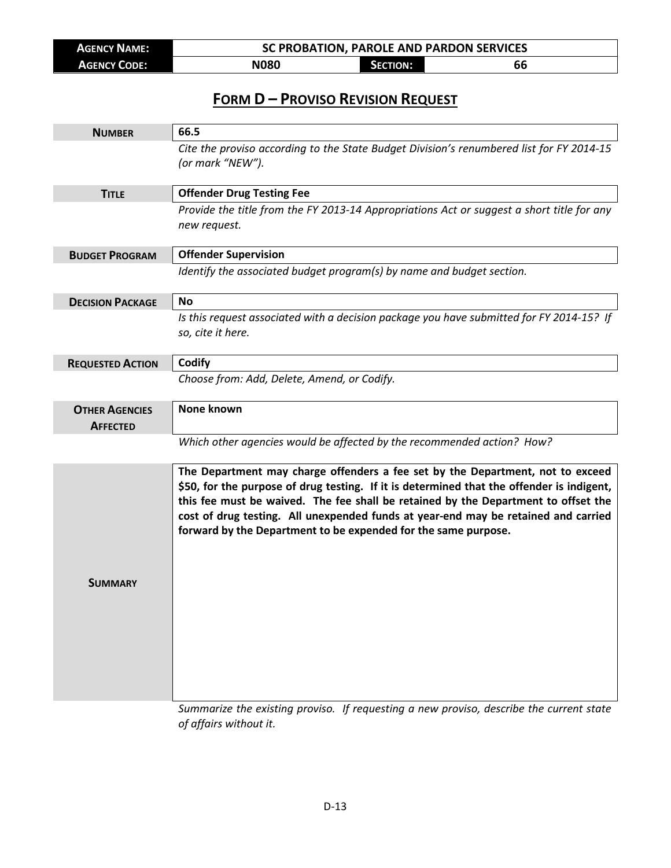| <b>AGENCY NAME:</b> | SC PROBATION, PAROLE AND PARDON SERVICES |                 |    |  |
|---------------------|------------------------------------------|-----------------|----|--|
| <b>AGENCY CODE:</b> | <b>N080</b>                              | <b>SECTION:</b> | 66 |  |

# **FORM D – PROVISO REVISION REQUEST**

| <b>NUMBER</b>                            | 66.5                                                                                                                                                                                                                                                                                                                                                                                                                      |
|------------------------------------------|---------------------------------------------------------------------------------------------------------------------------------------------------------------------------------------------------------------------------------------------------------------------------------------------------------------------------------------------------------------------------------------------------------------------------|
|                                          | Cite the proviso according to the State Budget Division's renumbered list for FY 2014-15<br>(or mark "NEW").                                                                                                                                                                                                                                                                                                              |
| <b>TITLE</b>                             | <b>Offender Drug Testing Fee</b>                                                                                                                                                                                                                                                                                                                                                                                          |
|                                          | Provide the title from the FY 2013-14 Appropriations Act or suggest a short title for any<br>new request.                                                                                                                                                                                                                                                                                                                 |
| <b>BUDGET PROGRAM</b>                    | <b>Offender Supervision</b>                                                                                                                                                                                                                                                                                                                                                                                               |
|                                          | Identify the associated budget program(s) by name and budget section.                                                                                                                                                                                                                                                                                                                                                     |
| <b>DECISION PACKAGE</b>                  | <b>No</b>                                                                                                                                                                                                                                                                                                                                                                                                                 |
|                                          | Is this request associated with a decision package you have submitted for FY 2014-15? If<br>so, cite it here.                                                                                                                                                                                                                                                                                                             |
| <b>REQUESTED ACTION</b>                  | Codify                                                                                                                                                                                                                                                                                                                                                                                                                    |
|                                          | Choose from: Add, Delete, Amend, or Codify.                                                                                                                                                                                                                                                                                                                                                                               |
| <b>OTHER AGENCIES</b><br><b>AFFECTED</b> | None known                                                                                                                                                                                                                                                                                                                                                                                                                |
|                                          | Which other agencies would be affected by the recommended action? How?                                                                                                                                                                                                                                                                                                                                                    |
| <b>SUMMARY</b>                           | The Department may charge offenders a fee set by the Department, not to exceed<br>\$50, for the purpose of drug testing. If it is determined that the offender is indigent,<br>this fee must be waived. The fee shall be retained by the Department to offset the<br>cost of drug testing. All unexpended funds at year-end may be retained and carried<br>forward by the Department to be expended for the same purpose. |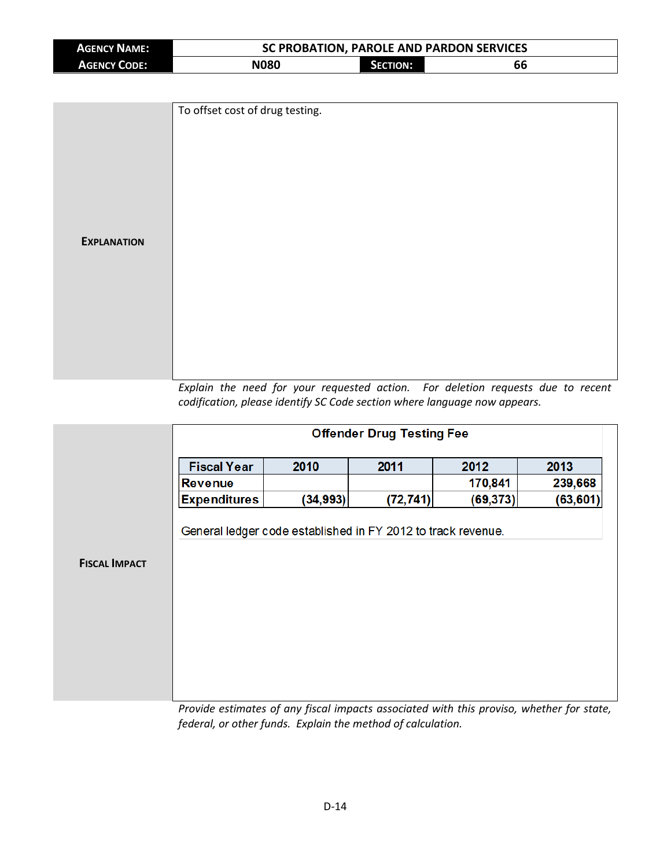| <b>AGENCY NAME:</b> | SC PROBATION, PAROLE AND PARDON SERVICES |                 |    |  |
|---------------------|------------------------------------------|-----------------|----|--|
| <b>AGENCY CODE:</b> | <b>N080</b>                              | <b>SECTION:</b> | 66 |  |

|                    | To offset cost of drug testing.                                                                                                                                                                             |
|--------------------|-------------------------------------------------------------------------------------------------------------------------------------------------------------------------------------------------------------|
|                    |                                                                                                                                                                                                             |
|                    |                                                                                                                                                                                                             |
|                    |                                                                                                                                                                                                             |
|                    |                                                                                                                                                                                                             |
| <b>EXPLANATION</b> |                                                                                                                                                                                                             |
|                    |                                                                                                                                                                                                             |
|                    |                                                                                                                                                                                                             |
|                    |                                                                                                                                                                                                             |
|                    | $-1$ and $-1$ and $-1$<br>$\sim$<br>$\mathbf{r} = \mathbf{r}$ , $\mathbf{r} = \mathbf{r}$ , $\mathbf{r} = \mathbf{r}$ , $\mathbf{r} = \mathbf{r}$ , $\mathbf{r} = \mathbf{r}$<br>$\sim$<br>$\sim$<br>$\sim$ |

*Explain the need for your requested action. For deletion requests due to recent codification, please identify SC Code section where language now appears.*

|                      | <b>Offender Drug Testing Fee</b> |           |           |           |           |
|----------------------|----------------------------------|-----------|-----------|-----------|-----------|
|                      | <b>Fiscal Year</b>               | 2010      | 2011      | 2012      | 2013      |
|                      | <b>Revenue</b>                   |           |           | 170,841   | 239,668   |
|                      | <b>Expenditures</b>              | (34, 993) | (72, 741) | (69, 373) | (63, 601) |
| <b>FISCAL IMPACT</b> |                                  |           |           |           |           |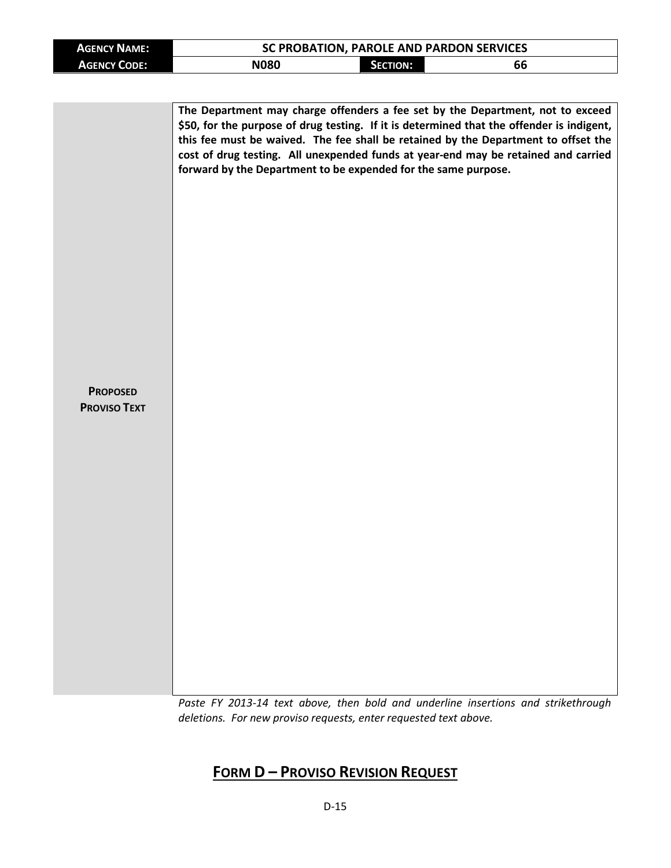| <b>AGENCY NAME:</b> | SC PROBATION, PAROLE AND PARDON SERVICES |          |    |  |
|---------------------|------------------------------------------|----------|----|--|
| <b>AGENCY CODE:</b> | N080                                     | Section: | 66 |  |

| The Department may charge offenders a fee set by the Department, not to exceed            |
|-------------------------------------------------------------------------------------------|
| \$50, for the purpose of drug testing. If it is determined that the offender is indigent, |
| this fee must be waived. The fee shall be retained by the Department to offset the        |
| cost of drug testing. All unexpended funds at year-end may be retained and carried        |
| forward by the Department to be expended for the same purpose.                            |

**PROPOSED PROVISO TEXT**

> *Paste FY 2013-14 text above, then bold and underline insertions and strikethrough deletions. For new proviso requests, enter requested text above.*

### **FORM D – PROVISO REVISION REQUEST**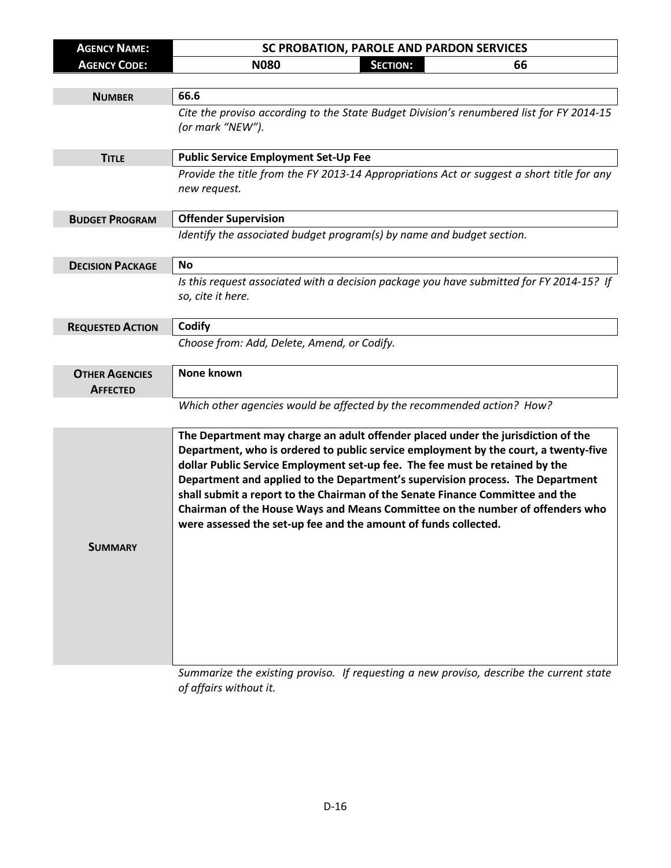| <b>AGENCY NAME:</b>                      | SC PROBATION, PAROLE AND PARDON SERVICES                                                                                                                                                                                                                                                                                                                                                                                                                                                                                                                                       |  |  |
|------------------------------------------|--------------------------------------------------------------------------------------------------------------------------------------------------------------------------------------------------------------------------------------------------------------------------------------------------------------------------------------------------------------------------------------------------------------------------------------------------------------------------------------------------------------------------------------------------------------------------------|--|--|
| <b>AGENCY CODE:</b>                      | <b>N080</b><br><b>SECTION:</b><br>66                                                                                                                                                                                                                                                                                                                                                                                                                                                                                                                                           |  |  |
|                                          |                                                                                                                                                                                                                                                                                                                                                                                                                                                                                                                                                                                |  |  |
| <b>NUMBER</b>                            | 66.6                                                                                                                                                                                                                                                                                                                                                                                                                                                                                                                                                                           |  |  |
|                                          | Cite the proviso according to the State Budget Division's renumbered list for FY 2014-15<br>(or mark "NEW").                                                                                                                                                                                                                                                                                                                                                                                                                                                                   |  |  |
| <b>TITLE</b>                             | <b>Public Service Employment Set-Up Fee</b>                                                                                                                                                                                                                                                                                                                                                                                                                                                                                                                                    |  |  |
|                                          | Provide the title from the FY 2013-14 Appropriations Act or suggest a short title for any<br>new request.                                                                                                                                                                                                                                                                                                                                                                                                                                                                      |  |  |
| <b>BUDGET PROGRAM</b>                    | <b>Offender Supervision</b>                                                                                                                                                                                                                                                                                                                                                                                                                                                                                                                                                    |  |  |
|                                          | Identify the associated budget program(s) by name and budget section.                                                                                                                                                                                                                                                                                                                                                                                                                                                                                                          |  |  |
| <b>DECISION PACKAGE</b>                  | <b>No</b>                                                                                                                                                                                                                                                                                                                                                                                                                                                                                                                                                                      |  |  |
|                                          | Is this request associated with a decision package you have submitted for FY 2014-15? If<br>so, cite it here.                                                                                                                                                                                                                                                                                                                                                                                                                                                                  |  |  |
| <b>REQUESTED ACTION</b>                  | <b>Codify</b>                                                                                                                                                                                                                                                                                                                                                                                                                                                                                                                                                                  |  |  |
|                                          | Choose from: Add, Delete, Amend, or Codify.                                                                                                                                                                                                                                                                                                                                                                                                                                                                                                                                    |  |  |
| <b>OTHER AGENCIES</b><br><b>AFFECTED</b> | None known                                                                                                                                                                                                                                                                                                                                                                                                                                                                                                                                                                     |  |  |
|                                          | Which other agencies would be affected by the recommended action? How?                                                                                                                                                                                                                                                                                                                                                                                                                                                                                                         |  |  |
| <b>SUMMARY</b>                           | The Department may charge an adult offender placed under the jurisdiction of the<br>Department, who is ordered to public service employment by the court, a twenty-five<br>dollar Public Service Employment set-up fee. The fee must be retained by the<br>Department and applied to the Department's supervision process. The Department<br>shall submit a report to the Chairman of the Senate Finance Committee and the<br>Chairman of the House Ways and Means Committee on the number of offenders who<br>were assessed the set-up fee and the amount of funds collected. |  |  |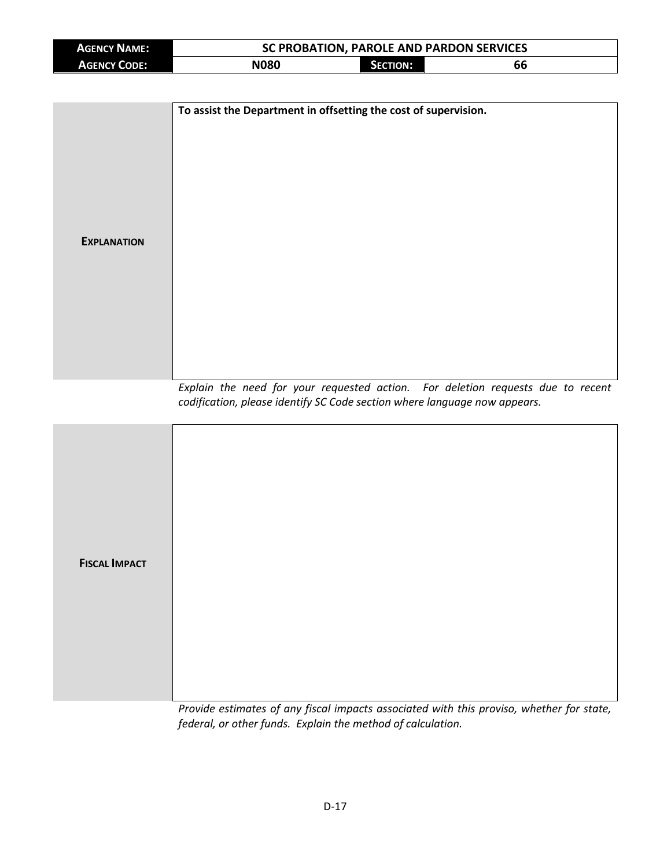| <b>AGENCY NAME:</b> | SC PROBATION, PAROLE AND PARDON SERVICES |                 |    |  |
|---------------------|------------------------------------------|-----------------|----|--|
| AGENCY CODE:        | <b>N080</b>                              | <b>SECTION:</b> | 66 |  |

| <b>EXPLANATION</b> | To assist the Department in offsetting the cost of supervision.                                                                                              |
|--------------------|--------------------------------------------------------------------------------------------------------------------------------------------------------------|
|                    | Explain the need for your requested action. For deletion requests due to recent<br>codification, please identify SC Code section where language now appears. |

| <b>FISCAL IMPACT</b> |  |  |
|----------------------|--|--|
|                      |  |  |